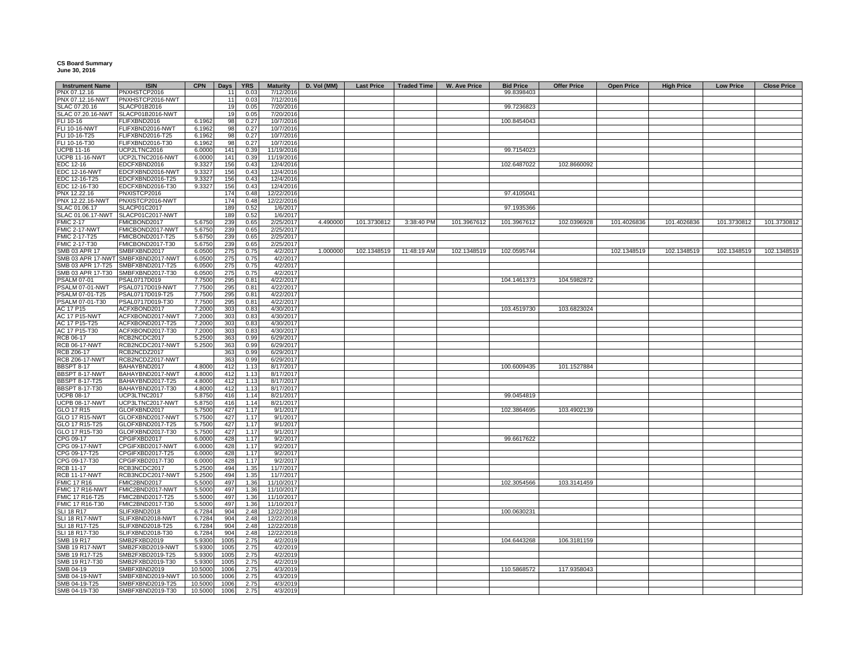## **CS Board Summary June 30, 2016**

| <b>Instrument Name</b>            | <b>ISIN</b>                          | <b>CPN</b>       | <b>Days</b> | <b>YRS</b>   | <b>Maturity</b>        | D. Vol (MM) | <b>Last Price</b> | <b>Traded Time</b> | W. Ave Price | <b>Bid Price</b> | <b>Offer Price</b> | <b>Open Price</b> | <b>High Price</b> | <b>Low Price</b> | <b>Close Price</b> |
|-----------------------------------|--------------------------------------|------------------|-------------|--------------|------------------------|-------------|-------------------|--------------------|--------------|------------------|--------------------|-------------------|-------------------|------------------|--------------------|
| PNX 07.12.16                      | PNXHSTCP2016                         |                  | 11          | 0.03         | 7/12/2016              |             |                   |                    |              | 99.8398403       |                    |                   |                   |                  |                    |
| PNX 07.12.16-NWT                  | PNXHSTCP2016-NWT                     |                  | 11          | 0.03         | 7/12/2016              |             |                   |                    |              |                  |                    |                   |                   |                  |                    |
| SLAC 07.20.16                     | SLACP01B2016                         |                  | 19          | 0.05         | 7/20/2016              |             |                   |                    |              | 99.7236823       |                    |                   |                   |                  |                    |
| SLAC 07.20.16-NWT                 | SLACP01B2016-NWT                     |                  | 19          | 0 O!         | 7/20/2016              |             |                   |                    |              |                  |                    |                   |                   |                  |                    |
| FLI 10-16                         | FLIFXBND2016                         | 6.1962           | 98          | 0.27         | 10/7/2016              |             |                   |                    |              | 100.8454043      |                    |                   |                   |                  |                    |
| <b>FLI 10-16-NWT</b>              | FLIFXBND2016-NWT                     | 6.1962           | 98          | 0.27         | 10/7/2016              |             |                   |                    |              |                  |                    |                   |                   |                  |                    |
| FLI 10-16-T25                     | FLIFXBND2016-T25                     | 6.1962           | 98          | 0.27         | 10/7/2016              |             |                   |                    |              |                  |                    |                   |                   |                  |                    |
| FLI 10-16-T30                     | FLIFXBND2016-T30                     | 6.1962           | 98          | 0.27         | 10/7/2016              |             |                   |                    |              |                  |                    |                   |                   |                  |                    |
| <b>UCPB 11-16</b>                 | UCP2LTNC2016                         | 6.0000           | 141         | 0.39         | 11/19/2016             |             |                   |                    |              | 99.7154023       |                    |                   |                   |                  |                    |
| <b>UCPB 11-16-NWT</b>             | UCP2LTNC2016-NWT                     | 6.0000           | 141         | 0.39         | 11/19/2016             |             |                   |                    |              |                  |                    |                   |                   |                  |                    |
| EDC 12-16<br>EDC 12-16-NWT        | EDCFXBND2016<br>EDCFXBND2016-NWT     | 9.3327<br>9.3327 | 156<br>156  | 0.43<br>0.43 | 12/4/2016<br>12/4/2016 |             |                   |                    |              | 102.6487022      | 102.8660092        |                   |                   |                  |                    |
| EDC 12-16-T25                     | EDCFXBND2016-T25                     | 9.3327           | 156         | 0.43         | 12/4/2016              |             |                   |                    |              |                  |                    |                   |                   |                  |                    |
| EDC 12-16-T30                     | EDCFXBND2016-T30                     | 9.3327           | 156         | 0.43         | 12/4/2016              |             |                   |                    |              |                  |                    |                   |                   |                  |                    |
| PNX 12.22.16                      | PNXISTCP2016                         |                  | 174         | 0.48         | 12/22/2016             |             |                   |                    |              | 97.4105041       |                    |                   |                   |                  |                    |
| <b>PNX 12.22.16-NWT</b>           | PNXISTCP2016-NWT                     |                  | 174         | 0.48         | 12/22/2016             |             |                   |                    |              |                  |                    |                   |                   |                  |                    |
| SLAC 01.06.17                     | SLACP01C2017                         |                  | 189         | 0.52         | 1/6/2017               |             |                   |                    |              | 97.1935366       |                    |                   |                   |                  |                    |
| SLAC 01.06.17-NWT                 | SLACP01C2017-NWT                     |                  | 189         | 0.52         | 1/6/2017               |             |                   |                    |              |                  |                    |                   |                   |                  |                    |
| <b>FMIC 2-17</b>                  | FMICBOND2017                         | 5.6750           | 239         | 0.65         | 2/25/2017              | 4.490000    | 101.3730812       | 3:38:40 PM         | 101.3967612  | 101.3967612      | 102.0396928        | 101.4026836       | 101.4026836       | 101.3730812      | 101.3730812        |
| FMIC 2-17-NWT                     | FMICBOND2017-NWT                     | 5.6750           | 239         | 0.65         | 2/25/2017              |             |                   |                    |              |                  |                    |                   |                   |                  |                    |
| FMIC 2-17-T25                     | FMICBOND2017-T25                     | 5.6750           | 239         | 0.65         | 2/25/2017              |             |                   |                    |              |                  |                    |                   |                   |                  |                    |
| FMIC 2-17-T30                     | FMICBOND2017-T30                     | 5.6750           | 239         | 0.65         | 2/25/2017              |             |                   |                    |              |                  |                    |                   |                   |                  |                    |
| SMB 03 APR 17                     | SMBFXBND2017                         | 6.0500           | 275         | 0.75         | 4/2/2017               | 1.000000    | 102.1348519       | 11:48:19 AM        | 102.1348519  | 102.0595744      |                    | 102.1348519       | 102.1348519       | 102.1348519      | 102.1348519        |
| SMB 03 APR 17-NWT                 | SMBFXBND2017-NWT                     | 6.0500           | 275         | 0.75         | 4/2/2017               |             |                   |                    |              |                  |                    |                   |                   |                  |                    |
| SMB 03 APR 17-T25                 | SMBFXBND2017-T25                     | 6.0500           | 275         | 0.75         | 4/2/2017               |             |                   |                    |              |                  |                    |                   |                   |                  |                    |
| SMB 03 APR 17-T30                 | SMBFXBND2017-T30                     | 6.0500           | 275         | 0.75         | 4/2/2017               |             |                   |                    |              |                  |                    |                   |                   |                  |                    |
| <b>PSALM 07-01</b>                | PSAL0717D019                         | 7.7500           | 295         | 0.81         | 4/22/2017              |             |                   |                    |              | 104.1461373      | 104.5982872        |                   |                   |                  |                    |
| PSALM 07-01-NWT                   | PSAL0717D019-NWT                     | 7.7500           | 295         | 0.81         | 4/22/2017              |             |                   |                    |              |                  |                    |                   |                   |                  |                    |
| PSALM 07-01-T25                   | PSAL0717D019-T25                     | 7.7500           | 295         | 0.81         | 4/22/2017              |             |                   |                    |              |                  |                    |                   |                   |                  |                    |
| PSALM 07-01-T30                   | PSAL0717D019-T30                     | 7.7500           | 295         | 0.81         | 4/22/2017              |             |                   |                    |              |                  |                    |                   |                   |                  |                    |
| AC 17 P15<br><b>AC 17 P15-NWT</b> | ACFXBOND2017<br>ACFXBOND2017-NWT     | 7.2000<br>7.2000 | 303<br>303  | 0.83<br>0.83 | 4/30/2017<br>4/30/2017 |             |                   |                    |              | 103.4519730      | 103.6823024        |                   |                   |                  |                    |
| AC 17 P15-T25                     | ACFXBOND2017-T25                     | 7.2000           | 303         | 0.83         | 4/30/2017              |             |                   |                    |              |                  |                    |                   |                   |                  |                    |
| AC 17 P15-T30                     | ACFXBOND2017-T30                     | 7.2000           | 303         | 0.83         | 4/30/2017              |             |                   |                    |              |                  |                    |                   |                   |                  |                    |
| RCB 06-17                         | RCB2NCDC2017                         | 5.2500           | 363         | 0.99         | 6/29/2017              |             |                   |                    |              |                  |                    |                   |                   |                  |                    |
| <b>RCB 06-17-NWT</b>              | RCB2NCDC2017-NWT                     | 5.2500           | 363         | 0.99         | 6/29/2017              |             |                   |                    |              |                  |                    |                   |                   |                  |                    |
| RCB Z06-17                        | RCB2NCDZ2017                         |                  | 363         | 0.99         | 6/29/2017              |             |                   |                    |              |                  |                    |                   |                   |                  |                    |
| <b>RCB Z06-17-NWT</b>             | RCB2NCDZ2017-NWT                     |                  | 363         | 0.99         | 6/29/2017              |             |                   |                    |              |                  |                    |                   |                   |                  |                    |
| <b>BBSPT 8-17</b>                 | BAHAYBND2017                         | 4.8000           | 412         | 1.13         | 8/17/2017              |             |                   |                    |              | 100.6009435      | 101.1527884        |                   |                   |                  |                    |
| BBSPT 8-17-NWT                    | BAHAYBND2017-NWT                     | 4.8000           | 412         | 1.13         | 8/17/2017              |             |                   |                    |              |                  |                    |                   |                   |                  |                    |
| BBSPT 8-17-T25                    | BAHAYBND2017-T25                     | 4.8000           | 412         | 1.13         | 8/17/2017              |             |                   |                    |              |                  |                    |                   |                   |                  |                    |
| <b>BBSPT 8-17-T30</b>             | BAHAYBND2017-T30                     | 4.8000           | 412         | 1.13         | 8/17/2017              |             |                   |                    |              |                  |                    |                   |                   |                  |                    |
| <b>UCPB 08-17</b>                 | UCP3LTNC2017                         | 5.8750           | 416         | 1.14         | 8/21/2017              |             |                   |                    |              | 99.0454819       |                    |                   |                   |                  |                    |
| <b>UCPB 08-17-NWT</b>             | UCP3LTNC2017-NWT                     | 5.8750           | 416         | 1.14         | 8/21/2017              |             |                   |                    |              |                  |                    |                   |                   |                  |                    |
| GLO 17 R15                        | GLOFXBND2017                         | 5.7500           | 427         | 1.17         | 9/1/2017               |             |                   |                    |              | 102.3864695      | 103.4902139        |                   |                   |                  |                    |
| <b>GLO 17 R15-NWT</b>             | GLOFXBND2017-NWT                     | 5.7500           | 427         | 1.17         | 9/1/2017               |             |                   |                    |              |                  |                    |                   |                   |                  |                    |
| GLO 17 R15-T25<br>GLO 17 R15-T30  | GLOFXBND2017-T25<br>GLOFXBND2017-T30 | 5.7500           | 427<br>427  | 1.17<br>1.17 | 9/1/2017               |             |                   |                    |              |                  |                    |                   |                   |                  |                    |
| CPG 09-17                         | CPGIFXBD2017                         | 5.7500<br>6.0000 | 428         | 1.17         | 9/1/2017<br>9/2/2017   |             |                   |                    |              | 99.6617622       |                    |                   |                   |                  |                    |
| CPG 09-17-NWT                     | CPGIFXBD2017-NWT                     | 6.0000           | 428         | 1.17         | 9/2/2017               |             |                   |                    |              |                  |                    |                   |                   |                  |                    |
| CPG 09-17-T25                     | CPGIFXBD2017-T25                     | 6.0000           | 428         | 1.17         | 9/2/2017               |             |                   |                    |              |                  |                    |                   |                   |                  |                    |
| CPG 09-17-T30                     | CPGIFXBD2017-T30                     | 6.0000           | 428         | 1.17         | 9/2/2017               |             |                   |                    |              |                  |                    |                   |                   |                  |                    |
| <b>RCB 11-17</b>                  | RCB3NCDC2017                         | 5.2500           | 494         | 1.35         | 11/7/2017              |             |                   |                    |              |                  |                    |                   |                   |                  |                    |
| <b>RCB 11-17-NWT</b>              | RCB3NCDC2017-NWT                     | 5.2500           | 494         | 1.35         | 11/7/2017              |             |                   |                    |              |                  |                    |                   |                   |                  |                    |
| <b>FMIC 17 R16</b>                | FMIC2BND2017                         | 5.5000           | 497         | 1.36         | 11/10/2017             |             |                   |                    |              | 102.3054566      | 103.3141459        |                   |                   |                  |                    |
| FMIC 17 R16-NWT                   | FMIC2BND2017-NWT                     | 5.5000           | 497         | 1.36         | 11/10/2017             |             |                   |                    |              |                  |                    |                   |                   |                  |                    |
| FMIC 17 R16-T25                   | FMIC2BND2017-T25                     | 5.5000           | 497         | 1.36         | 11/10/2017             |             |                   |                    |              |                  |                    |                   |                   |                  |                    |
| FMIC 17 R16-T30                   | FMIC2BND2017-T30                     | 5.5000           | 497         | 1.36         | 11/10/2017             |             |                   |                    |              |                  |                    |                   |                   |                  |                    |
| <b>SLI 18 R17</b>                 | SLIFXBND2018                         | 6.7284           | 904         | 2.48         | 12/22/2018             |             |                   |                    |              | 100.063023       |                    |                   |                   |                  |                    |
| SLI 18 R17-NWT                    | SLIFXBND2018-NWT                     | 6.7284           | 904         | 2.48         | 12/22/2018             |             |                   |                    |              |                  |                    |                   |                   |                  |                    |
| SLI 18 R17-T25<br>SLI 18 R17-T30  | SLIFXBND2018-T25                     | 6.7284           | 904         | 2.48         | 12/22/2018             |             |                   |                    |              |                  |                    |                   |                   |                  |                    |
| SMB 19 R17                        | SLIFXBND2018-T30<br>SMB2FXBD2019     | 6.7284<br>5.9300 | 904<br>1005 | 2.48<br>2.75 | 12/22/2018<br>4/2/2019 |             |                   |                    |              | 104.6443268      | 106.3181159        |                   |                   |                  |                    |
| <b>SMB 19 R17-NWT</b>             | SMB2FXBD2019-NWT                     | 5.9300           | 1005        | 2.75         | 4/2/2019               |             |                   |                    |              |                  |                    |                   |                   |                  |                    |
| SMB 19 R17-T25                    | SMB2FXBD2019-T25                     | 5.9300           | 1005        | 2.75         | 4/2/2019               |             |                   |                    |              |                  |                    |                   |                   |                  |                    |
| SMB 19 R17-T30                    | SMB2FXBD2019-T30                     | 5.9300           | 1005        | 2.75         | 4/2/2019               |             |                   |                    |              |                  |                    |                   |                   |                  |                    |
| SMB 04-19                         | SMBFXBND2019                         | 10.5000          | 1006        | 2.75         | 4/3/2019               |             |                   |                    |              | 110.5868572      | 117.9358043        |                   |                   |                  |                    |
| <b>SMB 04-19-NWT</b>              | SMBFXBND2019-NWT                     | 10.5000          | 1006        | 2.75         | 4/3/2019               |             |                   |                    |              |                  |                    |                   |                   |                  |                    |
| SMB 04-19-T25                     | SMBFXBND2019-T25                     | 10.5000          | 1006        | 2.75         | 4/3/2019               |             |                   |                    |              |                  |                    |                   |                   |                  |                    |
| SMB 04-19-T30                     | SMBFXBND2019-T30                     | 10.5000          | 1006        | 2.75         | 4/3/2019               |             |                   |                    |              |                  |                    |                   |                   |                  |                    |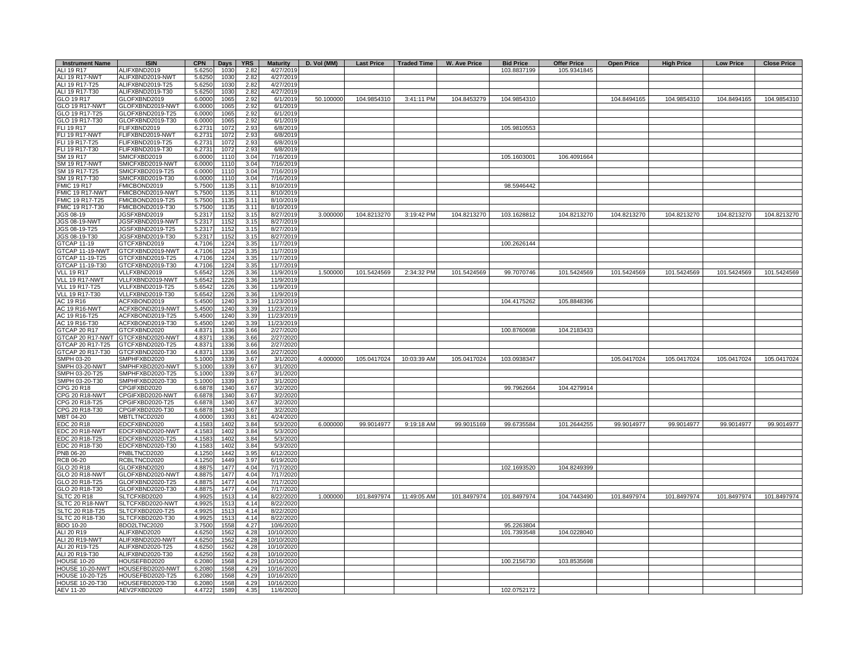| ALI 19 R17<br>ALIFXBND2019<br>5.625<br>1030<br>2.82<br>4/27/2019<br>103.8837199<br>105.9341845<br>ALI 19 R17-NWT<br>ALIFXBND2019-NWT<br>5.6250<br>1030<br>2.82<br>4/27/2019<br>ALI 19 R17-T25<br>ALIFXBND2019-T25<br>5.625<br>1030<br>2.82<br>4/27/2019<br>ALI 19 R17-T30<br>ALIFXBND2019-T30<br>5.6250<br>1030<br>2.82<br>4/27/2019<br>104.8453279<br>GLO 19 R17<br>GLOFXBND2019<br>6.0000<br>1065<br>2.92<br>6/1/2019<br>50.100000<br>104.9854310<br>3:41:11 PM<br>104.9854310<br>104.8494165<br>104.9854310<br>104.8494165<br>104.9854310<br><b>GLO 19 R17-NWT</b><br>GLOFXBND2019-NWT<br>6/1/2019<br>6.0000<br>1065<br>2.92<br>GLO 19 R17-T25<br>GLOFXBND2019-T25<br>6.0000<br>1065<br>2.92<br>6/1/2019<br>GLO 19 R17-T30<br>GLOFXBND2019-T30<br>6/1/2019<br>6.0000<br>1065<br>2.92<br><b>FLI 19 R17</b><br>FLIFXBND2019<br>2.93<br>6/8/2019<br>105.9810553<br>6.2731<br>1072<br><b>FLI 19 R17-NWT</b><br>FLIFXBND2019-NWT<br>1072<br>2.93<br>6/8/2019<br>6.2731<br>FLI 19 R17-T25<br>FLIFXBND2019-T25<br>6.2731<br>1072<br>2.93<br>6/8/2019<br>FLI 19 R17-T30<br>FLIFXBND2019-T30<br>6.2731<br>1072<br>2.93<br>6/8/2019<br>SM 19 R17<br>SMICFXBD2019<br>6.0000<br>1110<br>3.04<br>7/16/2019<br>105.1603001<br>106.4091664<br><b>SM 19 R17-NWT</b><br>SMICFXBD2019-NWT<br>6.0000<br>1110<br>3.04<br>7/16/2019<br>SM 19 R17-T25<br>SMICFXBD2019-T25<br>6.0000<br>1110<br>3.04<br>7/16/2019<br>SM 19 R17-T30<br>SMICFXBD2019-T30<br>6.0000<br>1110<br>3.04<br>7/16/2019<br>FMICBOND2019<br><b>FMIC 19 R17</b><br>5.7500<br>1135<br>3.11<br>8/10/2019<br>98.5946442<br>FMIC 19 R17-NWT<br>FMICBOND2019-NWT<br>5.7500<br>1135<br>3.11<br>8/10/2019<br>FMIC 19 R17-T25<br>FMICBOND2019-T25<br>5.7500<br>1135<br>3.11<br>8/10/2019<br>FMIC 19 R17-T30<br>FMICBOND2019-T30<br>5.7500<br>113<br>3.11<br>8/10/2019<br><b>JGS 08-19</b><br>JGSFXBND2019<br>1152<br>5.2317<br>3.15<br>8/27/2019<br>3.000000<br>104.8213270<br>3:19:42 PM<br>104.8213270<br>103.1628812<br>104.8213270<br>104.8213270<br>104.8213270<br>104.8213270<br>104.8213270<br>JGS 08-19-NWT<br>JGSFXBND2019-NWT<br>5.2317<br>3.15<br>8/27/2019<br>1152<br>JGSFXBND2019-T25<br>1152<br>JGS 08-19-T25<br>5.2317<br>3.15<br>8/27/2019<br>JGS 08-19-T30<br>JGSFXBND2019-T30<br>5.2317<br>1152<br>3.15<br>8/27/2019<br>3.35<br>GTCAP 11-19<br>GTCFXBND2019<br>4.7106<br>1224<br>11/7/2019<br>100.2626144<br>GTCAP 11-19-NWT<br>GTCFXBND2019-NWT<br>1224<br>3.35<br>11/7/2019<br>4.7106<br>1224<br>GTCAP 11-19-T25<br>GTCFXBND2019-T25<br>4.7106<br>3.35<br>11/7/2019<br>GTCAP 11-19-T30<br>1224<br>11/7/2019<br>GTCFXBND2019-T30<br>4.7106<br>3.35<br><b>VLL 19 R17</b><br>VLLFXBND2019<br>5.6542<br>1226<br>3.36<br>11/9/2019<br>1.500000<br>101.5424569<br>2:34:32 PM<br>101.5424569<br>101.5424569<br>101.5424569<br>99.7070746<br>101.5424569<br>101.5424569<br>101.5424569<br>VLL 19 R17-NWT<br>VLLFXBND2019-NWT<br>5.6542<br>1226<br>3.36<br>11/9/2019<br>VLL 19 R17-T25<br>VLLFXBND2019-T25<br>1226<br>11/9/2019<br>5.6542<br>3.36<br><b>VLL 19 R17-T30</b><br>VLLFXBND2019-T30<br>1226<br>5.6542<br>3.36<br>11/9/2019<br>ACFXBOND2019<br>1240<br>AC 19 R16<br>5.4500<br>3.39<br>11/23/2019<br>104.4175262<br>105.8848396<br><b>AC 19 R16-NWT</b><br>ACFXBOND2019-NWT<br>5.450<br>1240<br>3.39<br>11/23/2019<br>AC 19 R16-T25<br>ACFXBOND2019-T25<br>5.450<br>1240<br>3.39<br>11/23/2019<br>AC 19 R16-T30<br>ACFXBOND2019-T30<br>5.4500<br>1240<br>3.39<br>11/23/2019<br>GTCAP 20 R17<br>GTCFXBND2020<br>4.8371<br>1336<br>3.66<br>2/27/2020<br>100.8760698<br>104.2183433<br>GTCAP 20 R17-NWT<br>GTCFXBND2020-NWT<br>4.8371<br>1336<br>3.66<br>2/27/2020<br>GTCAP 20 R17-T25<br>GTCFXBND2020-T25<br>1336<br>2/27/2020<br>4.837<br>3.66<br>GTCAP 20 R17-T30<br>GTCFXBND2020-T30<br>4.8371<br>1336<br>3.66<br>2/27/2020<br>SMPH 03-20<br>SMPHFXBD2020<br>1339<br>4.000000<br>105.0417024<br>10:03:39 AM<br>105.0417024<br>103.0938347<br>105.0417024<br>105.0417024<br>105.0417024<br>105.0417024<br>5.1000<br>3.67<br>3/1/2020<br>SMPH 03-20-NWT<br>SMPHFXBD2020-NWT<br>1339<br>3/1/2020<br>5.1000<br>3.67<br>SMPH 03-20-T25<br>SMPHFXBD2020-T25<br>1339<br>3/1/2020<br>5.1000<br>3.67<br>SMPH 03-20-T30<br>SMPHFXBD2020-T30<br>5.1000<br>1339<br>3.67<br>3/1/2020<br>99.7962664<br>104.4279914<br>CPG 20 R18<br>CPGIFXBD2020<br>6.6878<br>1340<br>3.67<br>3/2/2020<br><b>CPG 20 R18-NWT</b><br>CPGIFXBD2020-NWT<br>6.6878<br>1340<br>3.67<br>3/2/2020<br>CPG 20 R18-T25<br>CPGIFXBD2020-T25<br>6.6878<br>1340<br>3.67<br>3/2/2020<br>CPG 20 R18-T30<br>CPGIFXBD2020-T30<br>6.6878<br>1340<br>3.67<br>3/2/2020<br>MBT 04-20<br>MBTLTNCD2020<br>4.0000<br>1393<br>3.81<br>4/24/2020<br>EDC 20 R18<br>EDCFXBND2020<br>4.1583<br>1402<br>3.84<br>5/3/2020<br>6.000000<br>99.9014977<br>9:19:18 AM<br>99.9015169<br>99.6735584<br>101.2644255<br>99.9014977<br>99.9014977<br>99.9014977<br>99.9014977<br>EDC 20 R18-NWT<br>EDCFXBND2020-NWT<br>4.1583<br>1402<br>3.84<br>5/3/2020<br>EDC 20 R18-T25<br>EDCFXBND2020-T25<br>4.1583<br>1402<br>3.84<br>5/3/2020<br>EDC 20 R18-T30<br>EDCFXBND2020-T30<br>4.1583<br>1402<br>3.84<br>5/3/2020<br>PNBLTNCD2020<br>1442<br>PNB 06-20<br>4.1250<br>3.95<br>6/12/2020<br>RCBLTNCD2020<br>4.1250<br>1449<br>3.97<br>6/19/2020<br>RCB 06-20<br>1477<br>GLO 20 R18<br>GLOFXBND2020<br>4.8875<br>4.04<br>7/17/2020<br>102.1693520<br>104.8249399<br>GLOFXBND2020-NWT<br>GLO 20 R18-NWT<br>4.8875<br>1477<br>4.04<br>7/17/2020<br>GLO 20 R18-T25<br>GLOFXBND2020-T25<br>1477<br>4.04<br>7/17/2020<br>4.8875<br>GLO 20 R18-T30<br>1477<br>GLOFXBND2020-T30<br>4.8875<br>4.04<br>7/17/2020<br>1.000000<br>101.8497974<br>11:49:05 AM<br>101.8497974<br>101.8497974<br>104.7443490<br>101.8497974<br>101.8497974<br>101.8497974<br>101.8497974<br><b>SLTC 20 R18</b><br>SLTCFXBD2020<br>1513<br>4.14<br>8/22/2020<br>4.9925<br>SLTC 20 R18-NWT<br>SLTCFXBD2020-NWT<br>1513<br>4.14<br>8/22/2020<br>4.9925<br>SLTC 20 R18-T25<br>SLTCFXBD2020-T25<br>4.9925<br>1513<br>4.14<br>8/22/2020<br>SLTC 20 R18-T30<br>1513<br>SLTCFXBD2020-T30<br>4.9925<br>4.14<br>8/22/2020<br>BDO 10-20<br>BDO2LTNC2020<br>3.7500<br>1558<br>4.27<br>10/6/2020<br>95.2263804<br>ALI 20 R19<br>1562<br>104.0228040<br>ALIFXBND2020<br>4.6250<br>4.28<br>10/10/2020<br>101.7393548<br>ALI 20 R19-NWT<br>ALIFXBND2020-NWT<br>4.6250<br>1562<br>4.28<br>10/10/2020<br>ALI 20 R19-T25<br>ALIFXBND2020-T25<br>4.625<br>1562<br>4.28<br>10/10/202<br>ALI 20 R19-T30<br>ALIFXBND2020-T30<br>4.6250<br>1562<br>4.28<br>10/10/2020<br><b>HOUSE 10-20</b><br>HOUSEFBD2020<br>6.2080<br>1568<br>4.29<br>10/16/2020<br>100.2156730<br>103.8535698<br>HOUSE 10-20-NWT<br>HOUSEFBD2020-NWT<br>1568<br>4.29<br>10/16/2020<br>6.2080<br><b>HOUSE 10-20-T25</b><br>HOUSEFBD2020-T25<br>1568<br>4.29<br>10/16/2020<br>6.2080<br><b>HOUSE 10-20-T30</b><br>HOUSEFBD2020-T30<br>6.2080<br>1568<br>4.29<br>10/16/2020<br><b>AEV 11-20</b><br>AEV2FXBD2020<br>4.35<br>102.0752172<br>4.4722<br>1589<br>11/6/2020 | <b>Instrument Name</b> | <b>ISIN</b> | <b>CPN</b> | Days | <b>YRS</b> | <b>Maturity</b> | D. Vol (MM) | <b>Last Price</b> | <b>Traded Time</b> | W. Ave Price | <b>Bid Price</b> | <b>Offer Price</b> | <b>Open Price</b> | <b>High Price</b> | <b>Low Price</b> | <b>Close Price</b> |
|--------------------------------------------------------------------------------------------------------------------------------------------------------------------------------------------------------------------------------------------------------------------------------------------------------------------------------------------------------------------------------------------------------------------------------------------------------------------------------------------------------------------------------------------------------------------------------------------------------------------------------------------------------------------------------------------------------------------------------------------------------------------------------------------------------------------------------------------------------------------------------------------------------------------------------------------------------------------------------------------------------------------------------------------------------------------------------------------------------------------------------------------------------------------------------------------------------------------------------------------------------------------------------------------------------------------------------------------------------------------------------------------------------------------------------------------------------------------------------------------------------------------------------------------------------------------------------------------------------------------------------------------------------------------------------------------------------------------------------------------------------------------------------------------------------------------------------------------------------------------------------------------------------------------------------------------------------------------------------------------------------------------------------------------------------------------------------------------------------------------------------------------------------------------------------------------------------------------------------------------------------------------------------------------------------------------------------------------------------------------------------------------------------------------------------------------------------------------------------------------------------------------------------------------------------------------------------------------------------------------------------------------------------------------------------------------------------------------------------------------------------------------------------------------------------------------------------------------------------------------------------------------------------------------------------------------------------------------------------------------------------------------------------------------------------------------------------------------------------------------------------------------------------------------------------------------------------------------------------------------------------------------------------------------------------------------------------------------------------------------------------------------------------------------------------------------------------------------------------------------------------------------------------------------------------------------------------------------------------------------------------------------------------------------------------------------------------------------------------------------------------------------------------------------------------------------------------------------------------------------------------------------------------------------------------------------------------------------------------------------------------------------------------------------------------------------------------------------------------------------------------------------------------------------------------------------------------------------------------------------------------------------------------------------------------------------------------------------------------------------------------------------------------------------------------------------------------------------------------------------------------------------------------------------------------------------------------------------------------------------------------------------------------------------------------------------------------------------------------------------------------------------------------------------------------------------------------------------------------------------------------------------------------------------------------------------------------------------------------------------------------------------------------------------------------------------------------------------------------------------------------------------------------------------------------------------------------------------------------------------------------------------------------------------------------------------------------------------------------------------------------------------------------------------------------------------------------------------------------------------------------------------------------------------------------------------------------------------------------------------------------------------------------------------------------------------------------------------------------------------------------------------------------------------------------------------------------------------------------------------------------------------------------------------------------------------------------------------------------------------------------------------------------------------------------------------------------------------------------------------------------------------------------------------------------------------------------------------------------------------------------------------------------------------------------------------------------------------------------------------------------------------------------------------------------------------------------------------------------------------------------------------------------------------------------------------------------------------------------------------------------------------------------------------------------------------------------------------------------------------------------------------------------------------------------------------------------------------------------------------------------------------------------------------------------------------------------------------|------------------------|-------------|------------|------|------------|-----------------|-------------|-------------------|--------------------|--------------|------------------|--------------------|-------------------|-------------------|------------------|--------------------|
|                                                                                                                                                                                                                                                                                                                                                                                                                                                                                                                                                                                                                                                                                                                                                                                                                                                                                                                                                                                                                                                                                                                                                                                                                                                                                                                                                                                                                                                                                                                                                                                                                                                                                                                                                                                                                                                                                                                                                                                                                                                                                                                                                                                                                                                                                                                                                                                                                                                                                                                                                                                                                                                                                                                                                                                                                                                                                                                                                                                                                                                                                                                                                                                                                                                                                                                                                                                                                                                                                                                                                                                                                                                                                                                                                                                                                                                                                                                                                                                                                                                                                                                                                                                                                                                                                                                                                                                                                                                                                                                                                                                                                                                                                                                                                                                                                                                                                                                                                                                                                                                                                                                                                                                                                                                                                                                                                                                                                                                                                                                                                                                                                                                                                                                                                                                                                                                                                                                                                                                                                                                                                                                                                                                                                                                                                                                                                                                                                                                                                                                                                                                                                                                                                                                                                                                                                                                                                                                                                                    |                        |             |            |      |            |                 |             |                   |                    |              |                  |                    |                   |                   |                  |                    |
|                                                                                                                                                                                                                                                                                                                                                                                                                                                                                                                                                                                                                                                                                                                                                                                                                                                                                                                                                                                                                                                                                                                                                                                                                                                                                                                                                                                                                                                                                                                                                                                                                                                                                                                                                                                                                                                                                                                                                                                                                                                                                                                                                                                                                                                                                                                                                                                                                                                                                                                                                                                                                                                                                                                                                                                                                                                                                                                                                                                                                                                                                                                                                                                                                                                                                                                                                                                                                                                                                                                                                                                                                                                                                                                                                                                                                                                                                                                                                                                                                                                                                                                                                                                                                                                                                                                                                                                                                                                                                                                                                                                                                                                                                                                                                                                                                                                                                                                                                                                                                                                                                                                                                                                                                                                                                                                                                                                                                                                                                                                                                                                                                                                                                                                                                                                                                                                                                                                                                                                                                                                                                                                                                                                                                                                                                                                                                                                                                                                                                                                                                                                                                                                                                                                                                                                                                                                                                                                                                                    |                        |             |            |      |            |                 |             |                   |                    |              |                  |                    |                   |                   |                  |                    |
|                                                                                                                                                                                                                                                                                                                                                                                                                                                                                                                                                                                                                                                                                                                                                                                                                                                                                                                                                                                                                                                                                                                                                                                                                                                                                                                                                                                                                                                                                                                                                                                                                                                                                                                                                                                                                                                                                                                                                                                                                                                                                                                                                                                                                                                                                                                                                                                                                                                                                                                                                                                                                                                                                                                                                                                                                                                                                                                                                                                                                                                                                                                                                                                                                                                                                                                                                                                                                                                                                                                                                                                                                                                                                                                                                                                                                                                                                                                                                                                                                                                                                                                                                                                                                                                                                                                                                                                                                                                                                                                                                                                                                                                                                                                                                                                                                                                                                                                                                                                                                                                                                                                                                                                                                                                                                                                                                                                                                                                                                                                                                                                                                                                                                                                                                                                                                                                                                                                                                                                                                                                                                                                                                                                                                                                                                                                                                                                                                                                                                                                                                                                                                                                                                                                                                                                                                                                                                                                                                                    |                        |             |            |      |            |                 |             |                   |                    |              |                  |                    |                   |                   |                  |                    |
|                                                                                                                                                                                                                                                                                                                                                                                                                                                                                                                                                                                                                                                                                                                                                                                                                                                                                                                                                                                                                                                                                                                                                                                                                                                                                                                                                                                                                                                                                                                                                                                                                                                                                                                                                                                                                                                                                                                                                                                                                                                                                                                                                                                                                                                                                                                                                                                                                                                                                                                                                                                                                                                                                                                                                                                                                                                                                                                                                                                                                                                                                                                                                                                                                                                                                                                                                                                                                                                                                                                                                                                                                                                                                                                                                                                                                                                                                                                                                                                                                                                                                                                                                                                                                                                                                                                                                                                                                                                                                                                                                                                                                                                                                                                                                                                                                                                                                                                                                                                                                                                                                                                                                                                                                                                                                                                                                                                                                                                                                                                                                                                                                                                                                                                                                                                                                                                                                                                                                                                                                                                                                                                                                                                                                                                                                                                                                                                                                                                                                                                                                                                                                                                                                                                                                                                                                                                                                                                                                                    |                        |             |            |      |            |                 |             |                   |                    |              |                  |                    |                   |                   |                  |                    |
|                                                                                                                                                                                                                                                                                                                                                                                                                                                                                                                                                                                                                                                                                                                                                                                                                                                                                                                                                                                                                                                                                                                                                                                                                                                                                                                                                                                                                                                                                                                                                                                                                                                                                                                                                                                                                                                                                                                                                                                                                                                                                                                                                                                                                                                                                                                                                                                                                                                                                                                                                                                                                                                                                                                                                                                                                                                                                                                                                                                                                                                                                                                                                                                                                                                                                                                                                                                                                                                                                                                                                                                                                                                                                                                                                                                                                                                                                                                                                                                                                                                                                                                                                                                                                                                                                                                                                                                                                                                                                                                                                                                                                                                                                                                                                                                                                                                                                                                                                                                                                                                                                                                                                                                                                                                                                                                                                                                                                                                                                                                                                                                                                                                                                                                                                                                                                                                                                                                                                                                                                                                                                                                                                                                                                                                                                                                                                                                                                                                                                                                                                                                                                                                                                                                                                                                                                                                                                                                                                                    |                        |             |            |      |            |                 |             |                   |                    |              |                  |                    |                   |                   |                  |                    |
|                                                                                                                                                                                                                                                                                                                                                                                                                                                                                                                                                                                                                                                                                                                                                                                                                                                                                                                                                                                                                                                                                                                                                                                                                                                                                                                                                                                                                                                                                                                                                                                                                                                                                                                                                                                                                                                                                                                                                                                                                                                                                                                                                                                                                                                                                                                                                                                                                                                                                                                                                                                                                                                                                                                                                                                                                                                                                                                                                                                                                                                                                                                                                                                                                                                                                                                                                                                                                                                                                                                                                                                                                                                                                                                                                                                                                                                                                                                                                                                                                                                                                                                                                                                                                                                                                                                                                                                                                                                                                                                                                                                                                                                                                                                                                                                                                                                                                                                                                                                                                                                                                                                                                                                                                                                                                                                                                                                                                                                                                                                                                                                                                                                                                                                                                                                                                                                                                                                                                                                                                                                                                                                                                                                                                                                                                                                                                                                                                                                                                                                                                                                                                                                                                                                                                                                                                                                                                                                                                                    |                        |             |            |      |            |                 |             |                   |                    |              |                  |                    |                   |                   |                  |                    |
|                                                                                                                                                                                                                                                                                                                                                                                                                                                                                                                                                                                                                                                                                                                                                                                                                                                                                                                                                                                                                                                                                                                                                                                                                                                                                                                                                                                                                                                                                                                                                                                                                                                                                                                                                                                                                                                                                                                                                                                                                                                                                                                                                                                                                                                                                                                                                                                                                                                                                                                                                                                                                                                                                                                                                                                                                                                                                                                                                                                                                                                                                                                                                                                                                                                                                                                                                                                                                                                                                                                                                                                                                                                                                                                                                                                                                                                                                                                                                                                                                                                                                                                                                                                                                                                                                                                                                                                                                                                                                                                                                                                                                                                                                                                                                                                                                                                                                                                                                                                                                                                                                                                                                                                                                                                                                                                                                                                                                                                                                                                                                                                                                                                                                                                                                                                                                                                                                                                                                                                                                                                                                                                                                                                                                                                                                                                                                                                                                                                                                                                                                                                                                                                                                                                                                                                                                                                                                                                                                                    |                        |             |            |      |            |                 |             |                   |                    |              |                  |                    |                   |                   |                  |                    |
|                                                                                                                                                                                                                                                                                                                                                                                                                                                                                                                                                                                                                                                                                                                                                                                                                                                                                                                                                                                                                                                                                                                                                                                                                                                                                                                                                                                                                                                                                                                                                                                                                                                                                                                                                                                                                                                                                                                                                                                                                                                                                                                                                                                                                                                                                                                                                                                                                                                                                                                                                                                                                                                                                                                                                                                                                                                                                                                                                                                                                                                                                                                                                                                                                                                                                                                                                                                                                                                                                                                                                                                                                                                                                                                                                                                                                                                                                                                                                                                                                                                                                                                                                                                                                                                                                                                                                                                                                                                                                                                                                                                                                                                                                                                                                                                                                                                                                                                                                                                                                                                                                                                                                                                                                                                                                                                                                                                                                                                                                                                                                                                                                                                                                                                                                                                                                                                                                                                                                                                                                                                                                                                                                                                                                                                                                                                                                                                                                                                                                                                                                                                                                                                                                                                                                                                                                                                                                                                                                                    |                        |             |            |      |            |                 |             |                   |                    |              |                  |                    |                   |                   |                  |                    |
|                                                                                                                                                                                                                                                                                                                                                                                                                                                                                                                                                                                                                                                                                                                                                                                                                                                                                                                                                                                                                                                                                                                                                                                                                                                                                                                                                                                                                                                                                                                                                                                                                                                                                                                                                                                                                                                                                                                                                                                                                                                                                                                                                                                                                                                                                                                                                                                                                                                                                                                                                                                                                                                                                                                                                                                                                                                                                                                                                                                                                                                                                                                                                                                                                                                                                                                                                                                                                                                                                                                                                                                                                                                                                                                                                                                                                                                                                                                                                                                                                                                                                                                                                                                                                                                                                                                                                                                                                                                                                                                                                                                                                                                                                                                                                                                                                                                                                                                                                                                                                                                                                                                                                                                                                                                                                                                                                                                                                                                                                                                                                                                                                                                                                                                                                                                                                                                                                                                                                                                                                                                                                                                                                                                                                                                                                                                                                                                                                                                                                                                                                                                                                                                                                                                                                                                                                                                                                                                                                                    |                        |             |            |      |            |                 |             |                   |                    |              |                  |                    |                   |                   |                  |                    |
|                                                                                                                                                                                                                                                                                                                                                                                                                                                                                                                                                                                                                                                                                                                                                                                                                                                                                                                                                                                                                                                                                                                                                                                                                                                                                                                                                                                                                                                                                                                                                                                                                                                                                                                                                                                                                                                                                                                                                                                                                                                                                                                                                                                                                                                                                                                                                                                                                                                                                                                                                                                                                                                                                                                                                                                                                                                                                                                                                                                                                                                                                                                                                                                                                                                                                                                                                                                                                                                                                                                                                                                                                                                                                                                                                                                                                                                                                                                                                                                                                                                                                                                                                                                                                                                                                                                                                                                                                                                                                                                                                                                                                                                                                                                                                                                                                                                                                                                                                                                                                                                                                                                                                                                                                                                                                                                                                                                                                                                                                                                                                                                                                                                                                                                                                                                                                                                                                                                                                                                                                                                                                                                                                                                                                                                                                                                                                                                                                                                                                                                                                                                                                                                                                                                                                                                                                                                                                                                                                                    |                        |             |            |      |            |                 |             |                   |                    |              |                  |                    |                   |                   |                  |                    |
|                                                                                                                                                                                                                                                                                                                                                                                                                                                                                                                                                                                                                                                                                                                                                                                                                                                                                                                                                                                                                                                                                                                                                                                                                                                                                                                                                                                                                                                                                                                                                                                                                                                                                                                                                                                                                                                                                                                                                                                                                                                                                                                                                                                                                                                                                                                                                                                                                                                                                                                                                                                                                                                                                                                                                                                                                                                                                                                                                                                                                                                                                                                                                                                                                                                                                                                                                                                                                                                                                                                                                                                                                                                                                                                                                                                                                                                                                                                                                                                                                                                                                                                                                                                                                                                                                                                                                                                                                                                                                                                                                                                                                                                                                                                                                                                                                                                                                                                                                                                                                                                                                                                                                                                                                                                                                                                                                                                                                                                                                                                                                                                                                                                                                                                                                                                                                                                                                                                                                                                                                                                                                                                                                                                                                                                                                                                                                                                                                                                                                                                                                                                                                                                                                                                                                                                                                                                                                                                                                                    |                        |             |            |      |            |                 |             |                   |                    |              |                  |                    |                   |                   |                  |                    |
|                                                                                                                                                                                                                                                                                                                                                                                                                                                                                                                                                                                                                                                                                                                                                                                                                                                                                                                                                                                                                                                                                                                                                                                                                                                                                                                                                                                                                                                                                                                                                                                                                                                                                                                                                                                                                                                                                                                                                                                                                                                                                                                                                                                                                                                                                                                                                                                                                                                                                                                                                                                                                                                                                                                                                                                                                                                                                                                                                                                                                                                                                                                                                                                                                                                                                                                                                                                                                                                                                                                                                                                                                                                                                                                                                                                                                                                                                                                                                                                                                                                                                                                                                                                                                                                                                                                                                                                                                                                                                                                                                                                                                                                                                                                                                                                                                                                                                                                                                                                                                                                                                                                                                                                                                                                                                                                                                                                                                                                                                                                                                                                                                                                                                                                                                                                                                                                                                                                                                                                                                                                                                                                                                                                                                                                                                                                                                                                                                                                                                                                                                                                                                                                                                                                                                                                                                                                                                                                                                                    |                        |             |            |      |            |                 |             |                   |                    |              |                  |                    |                   |                   |                  |                    |
|                                                                                                                                                                                                                                                                                                                                                                                                                                                                                                                                                                                                                                                                                                                                                                                                                                                                                                                                                                                                                                                                                                                                                                                                                                                                                                                                                                                                                                                                                                                                                                                                                                                                                                                                                                                                                                                                                                                                                                                                                                                                                                                                                                                                                                                                                                                                                                                                                                                                                                                                                                                                                                                                                                                                                                                                                                                                                                                                                                                                                                                                                                                                                                                                                                                                                                                                                                                                                                                                                                                                                                                                                                                                                                                                                                                                                                                                                                                                                                                                                                                                                                                                                                                                                                                                                                                                                                                                                                                                                                                                                                                                                                                                                                                                                                                                                                                                                                                                                                                                                                                                                                                                                                                                                                                                                                                                                                                                                                                                                                                                                                                                                                                                                                                                                                                                                                                                                                                                                                                                                                                                                                                                                                                                                                                                                                                                                                                                                                                                                                                                                                                                                                                                                                                                                                                                                                                                                                                                                                    |                        |             |            |      |            |                 |             |                   |                    |              |                  |                    |                   |                   |                  |                    |
|                                                                                                                                                                                                                                                                                                                                                                                                                                                                                                                                                                                                                                                                                                                                                                                                                                                                                                                                                                                                                                                                                                                                                                                                                                                                                                                                                                                                                                                                                                                                                                                                                                                                                                                                                                                                                                                                                                                                                                                                                                                                                                                                                                                                                                                                                                                                                                                                                                                                                                                                                                                                                                                                                                                                                                                                                                                                                                                                                                                                                                                                                                                                                                                                                                                                                                                                                                                                                                                                                                                                                                                                                                                                                                                                                                                                                                                                                                                                                                                                                                                                                                                                                                                                                                                                                                                                                                                                                                                                                                                                                                                                                                                                                                                                                                                                                                                                                                                                                                                                                                                                                                                                                                                                                                                                                                                                                                                                                                                                                                                                                                                                                                                                                                                                                                                                                                                                                                                                                                                                                                                                                                                                                                                                                                                                                                                                                                                                                                                                                                                                                                                                                                                                                                                                                                                                                                                                                                                                                                    |                        |             |            |      |            |                 |             |                   |                    |              |                  |                    |                   |                   |                  |                    |
|                                                                                                                                                                                                                                                                                                                                                                                                                                                                                                                                                                                                                                                                                                                                                                                                                                                                                                                                                                                                                                                                                                                                                                                                                                                                                                                                                                                                                                                                                                                                                                                                                                                                                                                                                                                                                                                                                                                                                                                                                                                                                                                                                                                                                                                                                                                                                                                                                                                                                                                                                                                                                                                                                                                                                                                                                                                                                                                                                                                                                                                                                                                                                                                                                                                                                                                                                                                                                                                                                                                                                                                                                                                                                                                                                                                                                                                                                                                                                                                                                                                                                                                                                                                                                                                                                                                                                                                                                                                                                                                                                                                                                                                                                                                                                                                                                                                                                                                                                                                                                                                                                                                                                                                                                                                                                                                                                                                                                                                                                                                                                                                                                                                                                                                                                                                                                                                                                                                                                                                                                                                                                                                                                                                                                                                                                                                                                                                                                                                                                                                                                                                                                                                                                                                                                                                                                                                                                                                                                                    |                        |             |            |      |            |                 |             |                   |                    |              |                  |                    |                   |                   |                  |                    |
|                                                                                                                                                                                                                                                                                                                                                                                                                                                                                                                                                                                                                                                                                                                                                                                                                                                                                                                                                                                                                                                                                                                                                                                                                                                                                                                                                                                                                                                                                                                                                                                                                                                                                                                                                                                                                                                                                                                                                                                                                                                                                                                                                                                                                                                                                                                                                                                                                                                                                                                                                                                                                                                                                                                                                                                                                                                                                                                                                                                                                                                                                                                                                                                                                                                                                                                                                                                                                                                                                                                                                                                                                                                                                                                                                                                                                                                                                                                                                                                                                                                                                                                                                                                                                                                                                                                                                                                                                                                                                                                                                                                                                                                                                                                                                                                                                                                                                                                                                                                                                                                                                                                                                                                                                                                                                                                                                                                                                                                                                                                                                                                                                                                                                                                                                                                                                                                                                                                                                                                                                                                                                                                                                                                                                                                                                                                                                                                                                                                                                                                                                                                                                                                                                                                                                                                                                                                                                                                                                                    |                        |             |            |      |            |                 |             |                   |                    |              |                  |                    |                   |                   |                  |                    |
|                                                                                                                                                                                                                                                                                                                                                                                                                                                                                                                                                                                                                                                                                                                                                                                                                                                                                                                                                                                                                                                                                                                                                                                                                                                                                                                                                                                                                                                                                                                                                                                                                                                                                                                                                                                                                                                                                                                                                                                                                                                                                                                                                                                                                                                                                                                                                                                                                                                                                                                                                                                                                                                                                                                                                                                                                                                                                                                                                                                                                                                                                                                                                                                                                                                                                                                                                                                                                                                                                                                                                                                                                                                                                                                                                                                                                                                                                                                                                                                                                                                                                                                                                                                                                                                                                                                                                                                                                                                                                                                                                                                                                                                                                                                                                                                                                                                                                                                                                                                                                                                                                                                                                                                                                                                                                                                                                                                                                                                                                                                                                                                                                                                                                                                                                                                                                                                                                                                                                                                                                                                                                                                                                                                                                                                                                                                                                                                                                                                                                                                                                                                                                                                                                                                                                                                                                                                                                                                                                                    |                        |             |            |      |            |                 |             |                   |                    |              |                  |                    |                   |                   |                  |                    |
|                                                                                                                                                                                                                                                                                                                                                                                                                                                                                                                                                                                                                                                                                                                                                                                                                                                                                                                                                                                                                                                                                                                                                                                                                                                                                                                                                                                                                                                                                                                                                                                                                                                                                                                                                                                                                                                                                                                                                                                                                                                                                                                                                                                                                                                                                                                                                                                                                                                                                                                                                                                                                                                                                                                                                                                                                                                                                                                                                                                                                                                                                                                                                                                                                                                                                                                                                                                                                                                                                                                                                                                                                                                                                                                                                                                                                                                                                                                                                                                                                                                                                                                                                                                                                                                                                                                                                                                                                                                                                                                                                                                                                                                                                                                                                                                                                                                                                                                                                                                                                                                                                                                                                                                                                                                                                                                                                                                                                                                                                                                                                                                                                                                                                                                                                                                                                                                                                                                                                                                                                                                                                                                                                                                                                                                                                                                                                                                                                                                                                                                                                                                                                                                                                                                                                                                                                                                                                                                                                                    |                        |             |            |      |            |                 |             |                   |                    |              |                  |                    |                   |                   |                  |                    |
|                                                                                                                                                                                                                                                                                                                                                                                                                                                                                                                                                                                                                                                                                                                                                                                                                                                                                                                                                                                                                                                                                                                                                                                                                                                                                                                                                                                                                                                                                                                                                                                                                                                                                                                                                                                                                                                                                                                                                                                                                                                                                                                                                                                                                                                                                                                                                                                                                                                                                                                                                                                                                                                                                                                                                                                                                                                                                                                                                                                                                                                                                                                                                                                                                                                                                                                                                                                                                                                                                                                                                                                                                                                                                                                                                                                                                                                                                                                                                                                                                                                                                                                                                                                                                                                                                                                                                                                                                                                                                                                                                                                                                                                                                                                                                                                                                                                                                                                                                                                                                                                                                                                                                                                                                                                                                                                                                                                                                                                                                                                                                                                                                                                                                                                                                                                                                                                                                                                                                                                                                                                                                                                                                                                                                                                                                                                                                                                                                                                                                                                                                                                                                                                                                                                                                                                                                                                                                                                                                                    |                        |             |            |      |            |                 |             |                   |                    |              |                  |                    |                   |                   |                  |                    |
|                                                                                                                                                                                                                                                                                                                                                                                                                                                                                                                                                                                                                                                                                                                                                                                                                                                                                                                                                                                                                                                                                                                                                                                                                                                                                                                                                                                                                                                                                                                                                                                                                                                                                                                                                                                                                                                                                                                                                                                                                                                                                                                                                                                                                                                                                                                                                                                                                                                                                                                                                                                                                                                                                                                                                                                                                                                                                                                                                                                                                                                                                                                                                                                                                                                                                                                                                                                                                                                                                                                                                                                                                                                                                                                                                                                                                                                                                                                                                                                                                                                                                                                                                                                                                                                                                                                                                                                                                                                                                                                                                                                                                                                                                                                                                                                                                                                                                                                                                                                                                                                                                                                                                                                                                                                                                                                                                                                                                                                                                                                                                                                                                                                                                                                                                                                                                                                                                                                                                                                                                                                                                                                                                                                                                                                                                                                                                                                                                                                                                                                                                                                                                                                                                                                                                                                                                                                                                                                                                                    |                        |             |            |      |            |                 |             |                   |                    |              |                  |                    |                   |                   |                  |                    |
|                                                                                                                                                                                                                                                                                                                                                                                                                                                                                                                                                                                                                                                                                                                                                                                                                                                                                                                                                                                                                                                                                                                                                                                                                                                                                                                                                                                                                                                                                                                                                                                                                                                                                                                                                                                                                                                                                                                                                                                                                                                                                                                                                                                                                                                                                                                                                                                                                                                                                                                                                                                                                                                                                                                                                                                                                                                                                                                                                                                                                                                                                                                                                                                                                                                                                                                                                                                                                                                                                                                                                                                                                                                                                                                                                                                                                                                                                                                                                                                                                                                                                                                                                                                                                                                                                                                                                                                                                                                                                                                                                                                                                                                                                                                                                                                                                                                                                                                                                                                                                                                                                                                                                                                                                                                                                                                                                                                                                                                                                                                                                                                                                                                                                                                                                                                                                                                                                                                                                                                                                                                                                                                                                                                                                                                                                                                                                                                                                                                                                                                                                                                                                                                                                                                                                                                                                                                                                                                                                                    |                        |             |            |      |            |                 |             |                   |                    |              |                  |                    |                   |                   |                  |                    |
|                                                                                                                                                                                                                                                                                                                                                                                                                                                                                                                                                                                                                                                                                                                                                                                                                                                                                                                                                                                                                                                                                                                                                                                                                                                                                                                                                                                                                                                                                                                                                                                                                                                                                                                                                                                                                                                                                                                                                                                                                                                                                                                                                                                                                                                                                                                                                                                                                                                                                                                                                                                                                                                                                                                                                                                                                                                                                                                                                                                                                                                                                                                                                                                                                                                                                                                                                                                                                                                                                                                                                                                                                                                                                                                                                                                                                                                                                                                                                                                                                                                                                                                                                                                                                                                                                                                                                                                                                                                                                                                                                                                                                                                                                                                                                                                                                                                                                                                                                                                                                                                                                                                                                                                                                                                                                                                                                                                                                                                                                                                                                                                                                                                                                                                                                                                                                                                                                                                                                                                                                                                                                                                                                                                                                                                                                                                                                                                                                                                                                                                                                                                                                                                                                                                                                                                                                                                                                                                                                                    |                        |             |            |      |            |                 |             |                   |                    |              |                  |                    |                   |                   |                  |                    |
|                                                                                                                                                                                                                                                                                                                                                                                                                                                                                                                                                                                                                                                                                                                                                                                                                                                                                                                                                                                                                                                                                                                                                                                                                                                                                                                                                                                                                                                                                                                                                                                                                                                                                                                                                                                                                                                                                                                                                                                                                                                                                                                                                                                                                                                                                                                                                                                                                                                                                                                                                                                                                                                                                                                                                                                                                                                                                                                                                                                                                                                                                                                                                                                                                                                                                                                                                                                                                                                                                                                                                                                                                                                                                                                                                                                                                                                                                                                                                                                                                                                                                                                                                                                                                                                                                                                                                                                                                                                                                                                                                                                                                                                                                                                                                                                                                                                                                                                                                                                                                                                                                                                                                                                                                                                                                                                                                                                                                                                                                                                                                                                                                                                                                                                                                                                                                                                                                                                                                                                                                                                                                                                                                                                                                                                                                                                                                                                                                                                                                                                                                                                                                                                                                                                                                                                                                                                                                                                                                                    |                        |             |            |      |            |                 |             |                   |                    |              |                  |                    |                   |                   |                  |                    |
|                                                                                                                                                                                                                                                                                                                                                                                                                                                                                                                                                                                                                                                                                                                                                                                                                                                                                                                                                                                                                                                                                                                                                                                                                                                                                                                                                                                                                                                                                                                                                                                                                                                                                                                                                                                                                                                                                                                                                                                                                                                                                                                                                                                                                                                                                                                                                                                                                                                                                                                                                                                                                                                                                                                                                                                                                                                                                                                                                                                                                                                                                                                                                                                                                                                                                                                                                                                                                                                                                                                                                                                                                                                                                                                                                                                                                                                                                                                                                                                                                                                                                                                                                                                                                                                                                                                                                                                                                                                                                                                                                                                                                                                                                                                                                                                                                                                                                                                                                                                                                                                                                                                                                                                                                                                                                                                                                                                                                                                                                                                                                                                                                                                                                                                                                                                                                                                                                                                                                                                                                                                                                                                                                                                                                                                                                                                                                                                                                                                                                                                                                                                                                                                                                                                                                                                                                                                                                                                                                                    |                        |             |            |      |            |                 |             |                   |                    |              |                  |                    |                   |                   |                  |                    |
|                                                                                                                                                                                                                                                                                                                                                                                                                                                                                                                                                                                                                                                                                                                                                                                                                                                                                                                                                                                                                                                                                                                                                                                                                                                                                                                                                                                                                                                                                                                                                                                                                                                                                                                                                                                                                                                                                                                                                                                                                                                                                                                                                                                                                                                                                                                                                                                                                                                                                                                                                                                                                                                                                                                                                                                                                                                                                                                                                                                                                                                                                                                                                                                                                                                                                                                                                                                                                                                                                                                                                                                                                                                                                                                                                                                                                                                                                                                                                                                                                                                                                                                                                                                                                                                                                                                                                                                                                                                                                                                                                                                                                                                                                                                                                                                                                                                                                                                                                                                                                                                                                                                                                                                                                                                                                                                                                                                                                                                                                                                                                                                                                                                                                                                                                                                                                                                                                                                                                                                                                                                                                                                                                                                                                                                                                                                                                                                                                                                                                                                                                                                                                                                                                                                                                                                                                                                                                                                                                                    |                        |             |            |      |            |                 |             |                   |                    |              |                  |                    |                   |                   |                  |                    |
|                                                                                                                                                                                                                                                                                                                                                                                                                                                                                                                                                                                                                                                                                                                                                                                                                                                                                                                                                                                                                                                                                                                                                                                                                                                                                                                                                                                                                                                                                                                                                                                                                                                                                                                                                                                                                                                                                                                                                                                                                                                                                                                                                                                                                                                                                                                                                                                                                                                                                                                                                                                                                                                                                                                                                                                                                                                                                                                                                                                                                                                                                                                                                                                                                                                                                                                                                                                                                                                                                                                                                                                                                                                                                                                                                                                                                                                                                                                                                                                                                                                                                                                                                                                                                                                                                                                                                                                                                                                                                                                                                                                                                                                                                                                                                                                                                                                                                                                                                                                                                                                                                                                                                                                                                                                                                                                                                                                                                                                                                                                                                                                                                                                                                                                                                                                                                                                                                                                                                                                                                                                                                                                                                                                                                                                                                                                                                                                                                                                                                                                                                                                                                                                                                                                                                                                                                                                                                                                                                                    |                        |             |            |      |            |                 |             |                   |                    |              |                  |                    |                   |                   |                  |                    |
|                                                                                                                                                                                                                                                                                                                                                                                                                                                                                                                                                                                                                                                                                                                                                                                                                                                                                                                                                                                                                                                                                                                                                                                                                                                                                                                                                                                                                                                                                                                                                                                                                                                                                                                                                                                                                                                                                                                                                                                                                                                                                                                                                                                                                                                                                                                                                                                                                                                                                                                                                                                                                                                                                                                                                                                                                                                                                                                                                                                                                                                                                                                                                                                                                                                                                                                                                                                                                                                                                                                                                                                                                                                                                                                                                                                                                                                                                                                                                                                                                                                                                                                                                                                                                                                                                                                                                                                                                                                                                                                                                                                                                                                                                                                                                                                                                                                                                                                                                                                                                                                                                                                                                                                                                                                                                                                                                                                                                                                                                                                                                                                                                                                                                                                                                                                                                                                                                                                                                                                                                                                                                                                                                                                                                                                                                                                                                                                                                                                                                                                                                                                                                                                                                                                                                                                                                                                                                                                                                                    |                        |             |            |      |            |                 |             |                   |                    |              |                  |                    |                   |                   |                  |                    |
|                                                                                                                                                                                                                                                                                                                                                                                                                                                                                                                                                                                                                                                                                                                                                                                                                                                                                                                                                                                                                                                                                                                                                                                                                                                                                                                                                                                                                                                                                                                                                                                                                                                                                                                                                                                                                                                                                                                                                                                                                                                                                                                                                                                                                                                                                                                                                                                                                                                                                                                                                                                                                                                                                                                                                                                                                                                                                                                                                                                                                                                                                                                                                                                                                                                                                                                                                                                                                                                                                                                                                                                                                                                                                                                                                                                                                                                                                                                                                                                                                                                                                                                                                                                                                                                                                                                                                                                                                                                                                                                                                                                                                                                                                                                                                                                                                                                                                                                                                                                                                                                                                                                                                                                                                                                                                                                                                                                                                                                                                                                                                                                                                                                                                                                                                                                                                                                                                                                                                                                                                                                                                                                                                                                                                                                                                                                                                                                                                                                                                                                                                                                                                                                                                                                                                                                                                                                                                                                                                                    |                        |             |            |      |            |                 |             |                   |                    |              |                  |                    |                   |                   |                  |                    |
|                                                                                                                                                                                                                                                                                                                                                                                                                                                                                                                                                                                                                                                                                                                                                                                                                                                                                                                                                                                                                                                                                                                                                                                                                                                                                                                                                                                                                                                                                                                                                                                                                                                                                                                                                                                                                                                                                                                                                                                                                                                                                                                                                                                                                                                                                                                                                                                                                                                                                                                                                                                                                                                                                                                                                                                                                                                                                                                                                                                                                                                                                                                                                                                                                                                                                                                                                                                                                                                                                                                                                                                                                                                                                                                                                                                                                                                                                                                                                                                                                                                                                                                                                                                                                                                                                                                                                                                                                                                                                                                                                                                                                                                                                                                                                                                                                                                                                                                                                                                                                                                                                                                                                                                                                                                                                                                                                                                                                                                                                                                                                                                                                                                                                                                                                                                                                                                                                                                                                                                                                                                                                                                                                                                                                                                                                                                                                                                                                                                                                                                                                                                                                                                                                                                                                                                                                                                                                                                                                                    |                        |             |            |      |            |                 |             |                   |                    |              |                  |                    |                   |                   |                  |                    |
|                                                                                                                                                                                                                                                                                                                                                                                                                                                                                                                                                                                                                                                                                                                                                                                                                                                                                                                                                                                                                                                                                                                                                                                                                                                                                                                                                                                                                                                                                                                                                                                                                                                                                                                                                                                                                                                                                                                                                                                                                                                                                                                                                                                                                                                                                                                                                                                                                                                                                                                                                                                                                                                                                                                                                                                                                                                                                                                                                                                                                                                                                                                                                                                                                                                                                                                                                                                                                                                                                                                                                                                                                                                                                                                                                                                                                                                                                                                                                                                                                                                                                                                                                                                                                                                                                                                                                                                                                                                                                                                                                                                                                                                                                                                                                                                                                                                                                                                                                                                                                                                                                                                                                                                                                                                                                                                                                                                                                                                                                                                                                                                                                                                                                                                                                                                                                                                                                                                                                                                                                                                                                                                                                                                                                                                                                                                                                                                                                                                                                                                                                                                                                                                                                                                                                                                                                                                                                                                                                                    |                        |             |            |      |            |                 |             |                   |                    |              |                  |                    |                   |                   |                  |                    |
|                                                                                                                                                                                                                                                                                                                                                                                                                                                                                                                                                                                                                                                                                                                                                                                                                                                                                                                                                                                                                                                                                                                                                                                                                                                                                                                                                                                                                                                                                                                                                                                                                                                                                                                                                                                                                                                                                                                                                                                                                                                                                                                                                                                                                                                                                                                                                                                                                                                                                                                                                                                                                                                                                                                                                                                                                                                                                                                                                                                                                                                                                                                                                                                                                                                                                                                                                                                                                                                                                                                                                                                                                                                                                                                                                                                                                                                                                                                                                                                                                                                                                                                                                                                                                                                                                                                                                                                                                                                                                                                                                                                                                                                                                                                                                                                                                                                                                                                                                                                                                                                                                                                                                                                                                                                                                                                                                                                                                                                                                                                                                                                                                                                                                                                                                                                                                                                                                                                                                                                                                                                                                                                                                                                                                                                                                                                                                                                                                                                                                                                                                                                                                                                                                                                                                                                                                                                                                                                                                                    |                        |             |            |      |            |                 |             |                   |                    |              |                  |                    |                   |                   |                  |                    |
|                                                                                                                                                                                                                                                                                                                                                                                                                                                                                                                                                                                                                                                                                                                                                                                                                                                                                                                                                                                                                                                                                                                                                                                                                                                                                                                                                                                                                                                                                                                                                                                                                                                                                                                                                                                                                                                                                                                                                                                                                                                                                                                                                                                                                                                                                                                                                                                                                                                                                                                                                                                                                                                                                                                                                                                                                                                                                                                                                                                                                                                                                                                                                                                                                                                                                                                                                                                                                                                                                                                                                                                                                                                                                                                                                                                                                                                                                                                                                                                                                                                                                                                                                                                                                                                                                                                                                                                                                                                                                                                                                                                                                                                                                                                                                                                                                                                                                                                                                                                                                                                                                                                                                                                                                                                                                                                                                                                                                                                                                                                                                                                                                                                                                                                                                                                                                                                                                                                                                                                                                                                                                                                                                                                                                                                                                                                                                                                                                                                                                                                                                                                                                                                                                                                                                                                                                                                                                                                                                                    |                        |             |            |      |            |                 |             |                   |                    |              |                  |                    |                   |                   |                  |                    |
|                                                                                                                                                                                                                                                                                                                                                                                                                                                                                                                                                                                                                                                                                                                                                                                                                                                                                                                                                                                                                                                                                                                                                                                                                                                                                                                                                                                                                                                                                                                                                                                                                                                                                                                                                                                                                                                                                                                                                                                                                                                                                                                                                                                                                                                                                                                                                                                                                                                                                                                                                                                                                                                                                                                                                                                                                                                                                                                                                                                                                                                                                                                                                                                                                                                                                                                                                                                                                                                                                                                                                                                                                                                                                                                                                                                                                                                                                                                                                                                                                                                                                                                                                                                                                                                                                                                                                                                                                                                                                                                                                                                                                                                                                                                                                                                                                                                                                                                                                                                                                                                                                                                                                                                                                                                                                                                                                                                                                                                                                                                                                                                                                                                                                                                                                                                                                                                                                                                                                                                                                                                                                                                                                                                                                                                                                                                                                                                                                                                                                                                                                                                                                                                                                                                                                                                                                                                                                                                                                                    |                        |             |            |      |            |                 |             |                   |                    |              |                  |                    |                   |                   |                  |                    |
|                                                                                                                                                                                                                                                                                                                                                                                                                                                                                                                                                                                                                                                                                                                                                                                                                                                                                                                                                                                                                                                                                                                                                                                                                                                                                                                                                                                                                                                                                                                                                                                                                                                                                                                                                                                                                                                                                                                                                                                                                                                                                                                                                                                                                                                                                                                                                                                                                                                                                                                                                                                                                                                                                                                                                                                                                                                                                                                                                                                                                                                                                                                                                                                                                                                                                                                                                                                                                                                                                                                                                                                                                                                                                                                                                                                                                                                                                                                                                                                                                                                                                                                                                                                                                                                                                                                                                                                                                                                                                                                                                                                                                                                                                                                                                                                                                                                                                                                                                                                                                                                                                                                                                                                                                                                                                                                                                                                                                                                                                                                                                                                                                                                                                                                                                                                                                                                                                                                                                                                                                                                                                                                                                                                                                                                                                                                                                                                                                                                                                                                                                                                                                                                                                                                                                                                                                                                                                                                                                                    |                        |             |            |      |            |                 |             |                   |                    |              |                  |                    |                   |                   |                  |                    |
|                                                                                                                                                                                                                                                                                                                                                                                                                                                                                                                                                                                                                                                                                                                                                                                                                                                                                                                                                                                                                                                                                                                                                                                                                                                                                                                                                                                                                                                                                                                                                                                                                                                                                                                                                                                                                                                                                                                                                                                                                                                                                                                                                                                                                                                                                                                                                                                                                                                                                                                                                                                                                                                                                                                                                                                                                                                                                                                                                                                                                                                                                                                                                                                                                                                                                                                                                                                                                                                                                                                                                                                                                                                                                                                                                                                                                                                                                                                                                                                                                                                                                                                                                                                                                                                                                                                                                                                                                                                                                                                                                                                                                                                                                                                                                                                                                                                                                                                                                                                                                                                                                                                                                                                                                                                                                                                                                                                                                                                                                                                                                                                                                                                                                                                                                                                                                                                                                                                                                                                                                                                                                                                                                                                                                                                                                                                                                                                                                                                                                                                                                                                                                                                                                                                                                                                                                                                                                                                                                                    |                        |             |            |      |            |                 |             |                   |                    |              |                  |                    |                   |                   |                  |                    |
|                                                                                                                                                                                                                                                                                                                                                                                                                                                                                                                                                                                                                                                                                                                                                                                                                                                                                                                                                                                                                                                                                                                                                                                                                                                                                                                                                                                                                                                                                                                                                                                                                                                                                                                                                                                                                                                                                                                                                                                                                                                                                                                                                                                                                                                                                                                                                                                                                                                                                                                                                                                                                                                                                                                                                                                                                                                                                                                                                                                                                                                                                                                                                                                                                                                                                                                                                                                                                                                                                                                                                                                                                                                                                                                                                                                                                                                                                                                                                                                                                                                                                                                                                                                                                                                                                                                                                                                                                                                                                                                                                                                                                                                                                                                                                                                                                                                                                                                                                                                                                                                                                                                                                                                                                                                                                                                                                                                                                                                                                                                                                                                                                                                                                                                                                                                                                                                                                                                                                                                                                                                                                                                                                                                                                                                                                                                                                                                                                                                                                                                                                                                                                                                                                                                                                                                                                                                                                                                                                                    |                        |             |            |      |            |                 |             |                   |                    |              |                  |                    |                   |                   |                  |                    |
|                                                                                                                                                                                                                                                                                                                                                                                                                                                                                                                                                                                                                                                                                                                                                                                                                                                                                                                                                                                                                                                                                                                                                                                                                                                                                                                                                                                                                                                                                                                                                                                                                                                                                                                                                                                                                                                                                                                                                                                                                                                                                                                                                                                                                                                                                                                                                                                                                                                                                                                                                                                                                                                                                                                                                                                                                                                                                                                                                                                                                                                                                                                                                                                                                                                                                                                                                                                                                                                                                                                                                                                                                                                                                                                                                                                                                                                                                                                                                                                                                                                                                                                                                                                                                                                                                                                                                                                                                                                                                                                                                                                                                                                                                                                                                                                                                                                                                                                                                                                                                                                                                                                                                                                                                                                                                                                                                                                                                                                                                                                                                                                                                                                                                                                                                                                                                                                                                                                                                                                                                                                                                                                                                                                                                                                                                                                                                                                                                                                                                                                                                                                                                                                                                                                                                                                                                                                                                                                                                                    |                        |             |            |      |            |                 |             |                   |                    |              |                  |                    |                   |                   |                  |                    |
|                                                                                                                                                                                                                                                                                                                                                                                                                                                                                                                                                                                                                                                                                                                                                                                                                                                                                                                                                                                                                                                                                                                                                                                                                                                                                                                                                                                                                                                                                                                                                                                                                                                                                                                                                                                                                                                                                                                                                                                                                                                                                                                                                                                                                                                                                                                                                                                                                                                                                                                                                                                                                                                                                                                                                                                                                                                                                                                                                                                                                                                                                                                                                                                                                                                                                                                                                                                                                                                                                                                                                                                                                                                                                                                                                                                                                                                                                                                                                                                                                                                                                                                                                                                                                                                                                                                                                                                                                                                                                                                                                                                                                                                                                                                                                                                                                                                                                                                                                                                                                                                                                                                                                                                                                                                                                                                                                                                                                                                                                                                                                                                                                                                                                                                                                                                                                                                                                                                                                                                                                                                                                                                                                                                                                                                                                                                                                                                                                                                                                                                                                                                                                                                                                                                                                                                                                                                                                                                                                                    |                        |             |            |      |            |                 |             |                   |                    |              |                  |                    |                   |                   |                  |                    |
|                                                                                                                                                                                                                                                                                                                                                                                                                                                                                                                                                                                                                                                                                                                                                                                                                                                                                                                                                                                                                                                                                                                                                                                                                                                                                                                                                                                                                                                                                                                                                                                                                                                                                                                                                                                                                                                                                                                                                                                                                                                                                                                                                                                                                                                                                                                                                                                                                                                                                                                                                                                                                                                                                                                                                                                                                                                                                                                                                                                                                                                                                                                                                                                                                                                                                                                                                                                                                                                                                                                                                                                                                                                                                                                                                                                                                                                                                                                                                                                                                                                                                                                                                                                                                                                                                                                                                                                                                                                                                                                                                                                                                                                                                                                                                                                                                                                                                                                                                                                                                                                                                                                                                                                                                                                                                                                                                                                                                                                                                                                                                                                                                                                                                                                                                                                                                                                                                                                                                                                                                                                                                                                                                                                                                                                                                                                                                                                                                                                                                                                                                                                                                                                                                                                                                                                                                                                                                                                                                                    |                        |             |            |      |            |                 |             |                   |                    |              |                  |                    |                   |                   |                  |                    |
|                                                                                                                                                                                                                                                                                                                                                                                                                                                                                                                                                                                                                                                                                                                                                                                                                                                                                                                                                                                                                                                                                                                                                                                                                                                                                                                                                                                                                                                                                                                                                                                                                                                                                                                                                                                                                                                                                                                                                                                                                                                                                                                                                                                                                                                                                                                                                                                                                                                                                                                                                                                                                                                                                                                                                                                                                                                                                                                                                                                                                                                                                                                                                                                                                                                                                                                                                                                                                                                                                                                                                                                                                                                                                                                                                                                                                                                                                                                                                                                                                                                                                                                                                                                                                                                                                                                                                                                                                                                                                                                                                                                                                                                                                                                                                                                                                                                                                                                                                                                                                                                                                                                                                                                                                                                                                                                                                                                                                                                                                                                                                                                                                                                                                                                                                                                                                                                                                                                                                                                                                                                                                                                                                                                                                                                                                                                                                                                                                                                                                                                                                                                                                                                                                                                                                                                                                                                                                                                                                                    |                        |             |            |      |            |                 |             |                   |                    |              |                  |                    |                   |                   |                  |                    |
|                                                                                                                                                                                                                                                                                                                                                                                                                                                                                                                                                                                                                                                                                                                                                                                                                                                                                                                                                                                                                                                                                                                                                                                                                                                                                                                                                                                                                                                                                                                                                                                                                                                                                                                                                                                                                                                                                                                                                                                                                                                                                                                                                                                                                                                                                                                                                                                                                                                                                                                                                                                                                                                                                                                                                                                                                                                                                                                                                                                                                                                                                                                                                                                                                                                                                                                                                                                                                                                                                                                                                                                                                                                                                                                                                                                                                                                                                                                                                                                                                                                                                                                                                                                                                                                                                                                                                                                                                                                                                                                                                                                                                                                                                                                                                                                                                                                                                                                                                                                                                                                                                                                                                                                                                                                                                                                                                                                                                                                                                                                                                                                                                                                                                                                                                                                                                                                                                                                                                                                                                                                                                                                                                                                                                                                                                                                                                                                                                                                                                                                                                                                                                                                                                                                                                                                                                                                                                                                                                                    |                        |             |            |      |            |                 |             |                   |                    |              |                  |                    |                   |                   |                  |                    |
|                                                                                                                                                                                                                                                                                                                                                                                                                                                                                                                                                                                                                                                                                                                                                                                                                                                                                                                                                                                                                                                                                                                                                                                                                                                                                                                                                                                                                                                                                                                                                                                                                                                                                                                                                                                                                                                                                                                                                                                                                                                                                                                                                                                                                                                                                                                                                                                                                                                                                                                                                                                                                                                                                                                                                                                                                                                                                                                                                                                                                                                                                                                                                                                                                                                                                                                                                                                                                                                                                                                                                                                                                                                                                                                                                                                                                                                                                                                                                                                                                                                                                                                                                                                                                                                                                                                                                                                                                                                                                                                                                                                                                                                                                                                                                                                                                                                                                                                                                                                                                                                                                                                                                                                                                                                                                                                                                                                                                                                                                                                                                                                                                                                                                                                                                                                                                                                                                                                                                                                                                                                                                                                                                                                                                                                                                                                                                                                                                                                                                                                                                                                                                                                                                                                                                                                                                                                                                                                                                                    |                        |             |            |      |            |                 |             |                   |                    |              |                  |                    |                   |                   |                  |                    |
|                                                                                                                                                                                                                                                                                                                                                                                                                                                                                                                                                                                                                                                                                                                                                                                                                                                                                                                                                                                                                                                                                                                                                                                                                                                                                                                                                                                                                                                                                                                                                                                                                                                                                                                                                                                                                                                                                                                                                                                                                                                                                                                                                                                                                                                                                                                                                                                                                                                                                                                                                                                                                                                                                                                                                                                                                                                                                                                                                                                                                                                                                                                                                                                                                                                                                                                                                                                                                                                                                                                                                                                                                                                                                                                                                                                                                                                                                                                                                                                                                                                                                                                                                                                                                                                                                                                                                                                                                                                                                                                                                                                                                                                                                                                                                                                                                                                                                                                                                                                                                                                                                                                                                                                                                                                                                                                                                                                                                                                                                                                                                                                                                                                                                                                                                                                                                                                                                                                                                                                                                                                                                                                                                                                                                                                                                                                                                                                                                                                                                                                                                                                                                                                                                                                                                                                                                                                                                                                                                                    |                        |             |            |      |            |                 |             |                   |                    |              |                  |                    |                   |                   |                  |                    |
|                                                                                                                                                                                                                                                                                                                                                                                                                                                                                                                                                                                                                                                                                                                                                                                                                                                                                                                                                                                                                                                                                                                                                                                                                                                                                                                                                                                                                                                                                                                                                                                                                                                                                                                                                                                                                                                                                                                                                                                                                                                                                                                                                                                                                                                                                                                                                                                                                                                                                                                                                                                                                                                                                                                                                                                                                                                                                                                                                                                                                                                                                                                                                                                                                                                                                                                                                                                                                                                                                                                                                                                                                                                                                                                                                                                                                                                                                                                                                                                                                                                                                                                                                                                                                                                                                                                                                                                                                                                                                                                                                                                                                                                                                                                                                                                                                                                                                                                                                                                                                                                                                                                                                                                                                                                                                                                                                                                                                                                                                                                                                                                                                                                                                                                                                                                                                                                                                                                                                                                                                                                                                                                                                                                                                                                                                                                                                                                                                                                                                                                                                                                                                                                                                                                                                                                                                                                                                                                                                                    |                        |             |            |      |            |                 |             |                   |                    |              |                  |                    |                   |                   |                  |                    |
|                                                                                                                                                                                                                                                                                                                                                                                                                                                                                                                                                                                                                                                                                                                                                                                                                                                                                                                                                                                                                                                                                                                                                                                                                                                                                                                                                                                                                                                                                                                                                                                                                                                                                                                                                                                                                                                                                                                                                                                                                                                                                                                                                                                                                                                                                                                                                                                                                                                                                                                                                                                                                                                                                                                                                                                                                                                                                                                                                                                                                                                                                                                                                                                                                                                                                                                                                                                                                                                                                                                                                                                                                                                                                                                                                                                                                                                                                                                                                                                                                                                                                                                                                                                                                                                                                                                                                                                                                                                                                                                                                                                                                                                                                                                                                                                                                                                                                                                                                                                                                                                                                                                                                                                                                                                                                                                                                                                                                                                                                                                                                                                                                                                                                                                                                                                                                                                                                                                                                                                                                                                                                                                                                                                                                                                                                                                                                                                                                                                                                                                                                                                                                                                                                                                                                                                                                                                                                                                                                                    |                        |             |            |      |            |                 |             |                   |                    |              |                  |                    |                   |                   |                  |                    |
|                                                                                                                                                                                                                                                                                                                                                                                                                                                                                                                                                                                                                                                                                                                                                                                                                                                                                                                                                                                                                                                                                                                                                                                                                                                                                                                                                                                                                                                                                                                                                                                                                                                                                                                                                                                                                                                                                                                                                                                                                                                                                                                                                                                                                                                                                                                                                                                                                                                                                                                                                                                                                                                                                                                                                                                                                                                                                                                                                                                                                                                                                                                                                                                                                                                                                                                                                                                                                                                                                                                                                                                                                                                                                                                                                                                                                                                                                                                                                                                                                                                                                                                                                                                                                                                                                                                                                                                                                                                                                                                                                                                                                                                                                                                                                                                                                                                                                                                                                                                                                                                                                                                                                                                                                                                                                                                                                                                                                                                                                                                                                                                                                                                                                                                                                                                                                                                                                                                                                                                                                                                                                                                                                                                                                                                                                                                                                                                                                                                                                                                                                                                                                                                                                                                                                                                                                                                                                                                                                                    |                        |             |            |      |            |                 |             |                   |                    |              |                  |                    |                   |                   |                  |                    |
|                                                                                                                                                                                                                                                                                                                                                                                                                                                                                                                                                                                                                                                                                                                                                                                                                                                                                                                                                                                                                                                                                                                                                                                                                                                                                                                                                                                                                                                                                                                                                                                                                                                                                                                                                                                                                                                                                                                                                                                                                                                                                                                                                                                                                                                                                                                                                                                                                                                                                                                                                                                                                                                                                                                                                                                                                                                                                                                                                                                                                                                                                                                                                                                                                                                                                                                                                                                                                                                                                                                                                                                                                                                                                                                                                                                                                                                                                                                                                                                                                                                                                                                                                                                                                                                                                                                                                                                                                                                                                                                                                                                                                                                                                                                                                                                                                                                                                                                                                                                                                                                                                                                                                                                                                                                                                                                                                                                                                                                                                                                                                                                                                                                                                                                                                                                                                                                                                                                                                                                                                                                                                                                                                                                                                                                                                                                                                                                                                                                                                                                                                                                                                                                                                                                                                                                                                                                                                                                                                                    |                        |             |            |      |            |                 |             |                   |                    |              |                  |                    |                   |                   |                  |                    |
|                                                                                                                                                                                                                                                                                                                                                                                                                                                                                                                                                                                                                                                                                                                                                                                                                                                                                                                                                                                                                                                                                                                                                                                                                                                                                                                                                                                                                                                                                                                                                                                                                                                                                                                                                                                                                                                                                                                                                                                                                                                                                                                                                                                                                                                                                                                                                                                                                                                                                                                                                                                                                                                                                                                                                                                                                                                                                                                                                                                                                                                                                                                                                                                                                                                                                                                                                                                                                                                                                                                                                                                                                                                                                                                                                                                                                                                                                                                                                                                                                                                                                                                                                                                                                                                                                                                                                                                                                                                                                                                                                                                                                                                                                                                                                                                                                                                                                                                                                                                                                                                                                                                                                                                                                                                                                                                                                                                                                                                                                                                                                                                                                                                                                                                                                                                                                                                                                                                                                                                                                                                                                                                                                                                                                                                                                                                                                                                                                                                                                                                                                                                                                                                                                                                                                                                                                                                                                                                                                                    |                        |             |            |      |            |                 |             |                   |                    |              |                  |                    |                   |                   |                  |                    |
|                                                                                                                                                                                                                                                                                                                                                                                                                                                                                                                                                                                                                                                                                                                                                                                                                                                                                                                                                                                                                                                                                                                                                                                                                                                                                                                                                                                                                                                                                                                                                                                                                                                                                                                                                                                                                                                                                                                                                                                                                                                                                                                                                                                                                                                                                                                                                                                                                                                                                                                                                                                                                                                                                                                                                                                                                                                                                                                                                                                                                                                                                                                                                                                                                                                                                                                                                                                                                                                                                                                                                                                                                                                                                                                                                                                                                                                                                                                                                                                                                                                                                                                                                                                                                                                                                                                                                                                                                                                                                                                                                                                                                                                                                                                                                                                                                                                                                                                                                                                                                                                                                                                                                                                                                                                                                                                                                                                                                                                                                                                                                                                                                                                                                                                                                                                                                                                                                                                                                                                                                                                                                                                                                                                                                                                                                                                                                                                                                                                                                                                                                                                                                                                                                                                                                                                                                                                                                                                                                                    |                        |             |            |      |            |                 |             |                   |                    |              |                  |                    |                   |                   |                  |                    |
|                                                                                                                                                                                                                                                                                                                                                                                                                                                                                                                                                                                                                                                                                                                                                                                                                                                                                                                                                                                                                                                                                                                                                                                                                                                                                                                                                                                                                                                                                                                                                                                                                                                                                                                                                                                                                                                                                                                                                                                                                                                                                                                                                                                                                                                                                                                                                                                                                                                                                                                                                                                                                                                                                                                                                                                                                                                                                                                                                                                                                                                                                                                                                                                                                                                                                                                                                                                                                                                                                                                                                                                                                                                                                                                                                                                                                                                                                                                                                                                                                                                                                                                                                                                                                                                                                                                                                                                                                                                                                                                                                                                                                                                                                                                                                                                                                                                                                                                                                                                                                                                                                                                                                                                                                                                                                                                                                                                                                                                                                                                                                                                                                                                                                                                                                                                                                                                                                                                                                                                                                                                                                                                                                                                                                                                                                                                                                                                                                                                                                                                                                                                                                                                                                                                                                                                                                                                                                                                                                                    |                        |             |            |      |            |                 |             |                   |                    |              |                  |                    |                   |                   |                  |                    |
|                                                                                                                                                                                                                                                                                                                                                                                                                                                                                                                                                                                                                                                                                                                                                                                                                                                                                                                                                                                                                                                                                                                                                                                                                                                                                                                                                                                                                                                                                                                                                                                                                                                                                                                                                                                                                                                                                                                                                                                                                                                                                                                                                                                                                                                                                                                                                                                                                                                                                                                                                                                                                                                                                                                                                                                                                                                                                                                                                                                                                                                                                                                                                                                                                                                                                                                                                                                                                                                                                                                                                                                                                                                                                                                                                                                                                                                                                                                                                                                                                                                                                                                                                                                                                                                                                                                                                                                                                                                                                                                                                                                                                                                                                                                                                                                                                                                                                                                                                                                                                                                                                                                                                                                                                                                                                                                                                                                                                                                                                                                                                                                                                                                                                                                                                                                                                                                                                                                                                                                                                                                                                                                                                                                                                                                                                                                                                                                                                                                                                                                                                                                                                                                                                                                                                                                                                                                                                                                                                                    |                        |             |            |      |            |                 |             |                   |                    |              |                  |                    |                   |                   |                  |                    |
|                                                                                                                                                                                                                                                                                                                                                                                                                                                                                                                                                                                                                                                                                                                                                                                                                                                                                                                                                                                                                                                                                                                                                                                                                                                                                                                                                                                                                                                                                                                                                                                                                                                                                                                                                                                                                                                                                                                                                                                                                                                                                                                                                                                                                                                                                                                                                                                                                                                                                                                                                                                                                                                                                                                                                                                                                                                                                                                                                                                                                                                                                                                                                                                                                                                                                                                                                                                                                                                                                                                                                                                                                                                                                                                                                                                                                                                                                                                                                                                                                                                                                                                                                                                                                                                                                                                                                                                                                                                                                                                                                                                                                                                                                                                                                                                                                                                                                                                                                                                                                                                                                                                                                                                                                                                                                                                                                                                                                                                                                                                                                                                                                                                                                                                                                                                                                                                                                                                                                                                                                                                                                                                                                                                                                                                                                                                                                                                                                                                                                                                                                                                                                                                                                                                                                                                                                                                                                                                                                                    |                        |             |            |      |            |                 |             |                   |                    |              |                  |                    |                   |                   |                  |                    |
|                                                                                                                                                                                                                                                                                                                                                                                                                                                                                                                                                                                                                                                                                                                                                                                                                                                                                                                                                                                                                                                                                                                                                                                                                                                                                                                                                                                                                                                                                                                                                                                                                                                                                                                                                                                                                                                                                                                                                                                                                                                                                                                                                                                                                                                                                                                                                                                                                                                                                                                                                                                                                                                                                                                                                                                                                                                                                                                                                                                                                                                                                                                                                                                                                                                                                                                                                                                                                                                                                                                                                                                                                                                                                                                                                                                                                                                                                                                                                                                                                                                                                                                                                                                                                                                                                                                                                                                                                                                                                                                                                                                                                                                                                                                                                                                                                                                                                                                                                                                                                                                                                                                                                                                                                                                                                                                                                                                                                                                                                                                                                                                                                                                                                                                                                                                                                                                                                                                                                                                                                                                                                                                                                                                                                                                                                                                                                                                                                                                                                                                                                                                                                                                                                                                                                                                                                                                                                                                                                                    |                        |             |            |      |            |                 |             |                   |                    |              |                  |                    |                   |                   |                  |                    |
|                                                                                                                                                                                                                                                                                                                                                                                                                                                                                                                                                                                                                                                                                                                                                                                                                                                                                                                                                                                                                                                                                                                                                                                                                                                                                                                                                                                                                                                                                                                                                                                                                                                                                                                                                                                                                                                                                                                                                                                                                                                                                                                                                                                                                                                                                                                                                                                                                                                                                                                                                                                                                                                                                                                                                                                                                                                                                                                                                                                                                                                                                                                                                                                                                                                                                                                                                                                                                                                                                                                                                                                                                                                                                                                                                                                                                                                                                                                                                                                                                                                                                                                                                                                                                                                                                                                                                                                                                                                                                                                                                                                                                                                                                                                                                                                                                                                                                                                                                                                                                                                                                                                                                                                                                                                                                                                                                                                                                                                                                                                                                                                                                                                                                                                                                                                                                                                                                                                                                                                                                                                                                                                                                                                                                                                                                                                                                                                                                                                                                                                                                                                                                                                                                                                                                                                                                                                                                                                                                                    |                        |             |            |      |            |                 |             |                   |                    |              |                  |                    |                   |                   |                  |                    |
|                                                                                                                                                                                                                                                                                                                                                                                                                                                                                                                                                                                                                                                                                                                                                                                                                                                                                                                                                                                                                                                                                                                                                                                                                                                                                                                                                                                                                                                                                                                                                                                                                                                                                                                                                                                                                                                                                                                                                                                                                                                                                                                                                                                                                                                                                                                                                                                                                                                                                                                                                                                                                                                                                                                                                                                                                                                                                                                                                                                                                                                                                                                                                                                                                                                                                                                                                                                                                                                                                                                                                                                                                                                                                                                                                                                                                                                                                                                                                                                                                                                                                                                                                                                                                                                                                                                                                                                                                                                                                                                                                                                                                                                                                                                                                                                                                                                                                                                                                                                                                                                                                                                                                                                                                                                                                                                                                                                                                                                                                                                                                                                                                                                                                                                                                                                                                                                                                                                                                                                                                                                                                                                                                                                                                                                                                                                                                                                                                                                                                                                                                                                                                                                                                                                                                                                                                                                                                                                                                                    |                        |             |            |      |            |                 |             |                   |                    |              |                  |                    |                   |                   |                  |                    |
|                                                                                                                                                                                                                                                                                                                                                                                                                                                                                                                                                                                                                                                                                                                                                                                                                                                                                                                                                                                                                                                                                                                                                                                                                                                                                                                                                                                                                                                                                                                                                                                                                                                                                                                                                                                                                                                                                                                                                                                                                                                                                                                                                                                                                                                                                                                                                                                                                                                                                                                                                                                                                                                                                                                                                                                                                                                                                                                                                                                                                                                                                                                                                                                                                                                                                                                                                                                                                                                                                                                                                                                                                                                                                                                                                                                                                                                                                                                                                                                                                                                                                                                                                                                                                                                                                                                                                                                                                                                                                                                                                                                                                                                                                                                                                                                                                                                                                                                                                                                                                                                                                                                                                                                                                                                                                                                                                                                                                                                                                                                                                                                                                                                                                                                                                                                                                                                                                                                                                                                                                                                                                                                                                                                                                                                                                                                                                                                                                                                                                                                                                                                                                                                                                                                                                                                                                                                                                                                                                                    |                        |             |            |      |            |                 |             |                   |                    |              |                  |                    |                   |                   |                  |                    |
|                                                                                                                                                                                                                                                                                                                                                                                                                                                                                                                                                                                                                                                                                                                                                                                                                                                                                                                                                                                                                                                                                                                                                                                                                                                                                                                                                                                                                                                                                                                                                                                                                                                                                                                                                                                                                                                                                                                                                                                                                                                                                                                                                                                                                                                                                                                                                                                                                                                                                                                                                                                                                                                                                                                                                                                                                                                                                                                                                                                                                                                                                                                                                                                                                                                                                                                                                                                                                                                                                                                                                                                                                                                                                                                                                                                                                                                                                                                                                                                                                                                                                                                                                                                                                                                                                                                                                                                                                                                                                                                                                                                                                                                                                                                                                                                                                                                                                                                                                                                                                                                                                                                                                                                                                                                                                                                                                                                                                                                                                                                                                                                                                                                                                                                                                                                                                                                                                                                                                                                                                                                                                                                                                                                                                                                                                                                                                                                                                                                                                                                                                                                                                                                                                                                                                                                                                                                                                                                                                                    |                        |             |            |      |            |                 |             |                   |                    |              |                  |                    |                   |                   |                  |                    |
|                                                                                                                                                                                                                                                                                                                                                                                                                                                                                                                                                                                                                                                                                                                                                                                                                                                                                                                                                                                                                                                                                                                                                                                                                                                                                                                                                                                                                                                                                                                                                                                                                                                                                                                                                                                                                                                                                                                                                                                                                                                                                                                                                                                                                                                                                                                                                                                                                                                                                                                                                                                                                                                                                                                                                                                                                                                                                                                                                                                                                                                                                                                                                                                                                                                                                                                                                                                                                                                                                                                                                                                                                                                                                                                                                                                                                                                                                                                                                                                                                                                                                                                                                                                                                                                                                                                                                                                                                                                                                                                                                                                                                                                                                                                                                                                                                                                                                                                                                                                                                                                                                                                                                                                                                                                                                                                                                                                                                                                                                                                                                                                                                                                                                                                                                                                                                                                                                                                                                                                                                                                                                                                                                                                                                                                                                                                                                                                                                                                                                                                                                                                                                                                                                                                                                                                                                                                                                                                                                                    |                        |             |            |      |            |                 |             |                   |                    |              |                  |                    |                   |                   |                  |                    |
|                                                                                                                                                                                                                                                                                                                                                                                                                                                                                                                                                                                                                                                                                                                                                                                                                                                                                                                                                                                                                                                                                                                                                                                                                                                                                                                                                                                                                                                                                                                                                                                                                                                                                                                                                                                                                                                                                                                                                                                                                                                                                                                                                                                                                                                                                                                                                                                                                                                                                                                                                                                                                                                                                                                                                                                                                                                                                                                                                                                                                                                                                                                                                                                                                                                                                                                                                                                                                                                                                                                                                                                                                                                                                                                                                                                                                                                                                                                                                                                                                                                                                                                                                                                                                                                                                                                                                                                                                                                                                                                                                                                                                                                                                                                                                                                                                                                                                                                                                                                                                                                                                                                                                                                                                                                                                                                                                                                                                                                                                                                                                                                                                                                                                                                                                                                                                                                                                                                                                                                                                                                                                                                                                                                                                                                                                                                                                                                                                                                                                                                                                                                                                                                                                                                                                                                                                                                                                                                                                                    |                        |             |            |      |            |                 |             |                   |                    |              |                  |                    |                   |                   |                  |                    |
|                                                                                                                                                                                                                                                                                                                                                                                                                                                                                                                                                                                                                                                                                                                                                                                                                                                                                                                                                                                                                                                                                                                                                                                                                                                                                                                                                                                                                                                                                                                                                                                                                                                                                                                                                                                                                                                                                                                                                                                                                                                                                                                                                                                                                                                                                                                                                                                                                                                                                                                                                                                                                                                                                                                                                                                                                                                                                                                                                                                                                                                                                                                                                                                                                                                                                                                                                                                                                                                                                                                                                                                                                                                                                                                                                                                                                                                                                                                                                                                                                                                                                                                                                                                                                                                                                                                                                                                                                                                                                                                                                                                                                                                                                                                                                                                                                                                                                                                                                                                                                                                                                                                                                                                                                                                                                                                                                                                                                                                                                                                                                                                                                                                                                                                                                                                                                                                                                                                                                                                                                                                                                                                                                                                                                                                                                                                                                                                                                                                                                                                                                                                                                                                                                                                                                                                                                                                                                                                                                                    |                        |             |            |      |            |                 |             |                   |                    |              |                  |                    |                   |                   |                  |                    |
|                                                                                                                                                                                                                                                                                                                                                                                                                                                                                                                                                                                                                                                                                                                                                                                                                                                                                                                                                                                                                                                                                                                                                                                                                                                                                                                                                                                                                                                                                                                                                                                                                                                                                                                                                                                                                                                                                                                                                                                                                                                                                                                                                                                                                                                                                                                                                                                                                                                                                                                                                                                                                                                                                                                                                                                                                                                                                                                                                                                                                                                                                                                                                                                                                                                                                                                                                                                                                                                                                                                                                                                                                                                                                                                                                                                                                                                                                                                                                                                                                                                                                                                                                                                                                                                                                                                                                                                                                                                                                                                                                                                                                                                                                                                                                                                                                                                                                                                                                                                                                                                                                                                                                                                                                                                                                                                                                                                                                                                                                                                                                                                                                                                                                                                                                                                                                                                                                                                                                                                                                                                                                                                                                                                                                                                                                                                                                                                                                                                                                                                                                                                                                                                                                                                                                                                                                                                                                                                                                                    |                        |             |            |      |            |                 |             |                   |                    |              |                  |                    |                   |                   |                  |                    |
|                                                                                                                                                                                                                                                                                                                                                                                                                                                                                                                                                                                                                                                                                                                                                                                                                                                                                                                                                                                                                                                                                                                                                                                                                                                                                                                                                                                                                                                                                                                                                                                                                                                                                                                                                                                                                                                                                                                                                                                                                                                                                                                                                                                                                                                                                                                                                                                                                                                                                                                                                                                                                                                                                                                                                                                                                                                                                                                                                                                                                                                                                                                                                                                                                                                                                                                                                                                                                                                                                                                                                                                                                                                                                                                                                                                                                                                                                                                                                                                                                                                                                                                                                                                                                                                                                                                                                                                                                                                                                                                                                                                                                                                                                                                                                                                                                                                                                                                                                                                                                                                                                                                                                                                                                                                                                                                                                                                                                                                                                                                                                                                                                                                                                                                                                                                                                                                                                                                                                                                                                                                                                                                                                                                                                                                                                                                                                                                                                                                                                                                                                                                                                                                                                                                                                                                                                                                                                                                                                                    |                        |             |            |      |            |                 |             |                   |                    |              |                  |                    |                   |                   |                  |                    |
|                                                                                                                                                                                                                                                                                                                                                                                                                                                                                                                                                                                                                                                                                                                                                                                                                                                                                                                                                                                                                                                                                                                                                                                                                                                                                                                                                                                                                                                                                                                                                                                                                                                                                                                                                                                                                                                                                                                                                                                                                                                                                                                                                                                                                                                                                                                                                                                                                                                                                                                                                                                                                                                                                                                                                                                                                                                                                                                                                                                                                                                                                                                                                                                                                                                                                                                                                                                                                                                                                                                                                                                                                                                                                                                                                                                                                                                                                                                                                                                                                                                                                                                                                                                                                                                                                                                                                                                                                                                                                                                                                                                                                                                                                                                                                                                                                                                                                                                                                                                                                                                                                                                                                                                                                                                                                                                                                                                                                                                                                                                                                                                                                                                                                                                                                                                                                                                                                                                                                                                                                                                                                                                                                                                                                                                                                                                                                                                                                                                                                                                                                                                                                                                                                                                                                                                                                                                                                                                                                                    |                        |             |            |      |            |                 |             |                   |                    |              |                  |                    |                   |                   |                  |                    |
|                                                                                                                                                                                                                                                                                                                                                                                                                                                                                                                                                                                                                                                                                                                                                                                                                                                                                                                                                                                                                                                                                                                                                                                                                                                                                                                                                                                                                                                                                                                                                                                                                                                                                                                                                                                                                                                                                                                                                                                                                                                                                                                                                                                                                                                                                                                                                                                                                                                                                                                                                                                                                                                                                                                                                                                                                                                                                                                                                                                                                                                                                                                                                                                                                                                                                                                                                                                                                                                                                                                                                                                                                                                                                                                                                                                                                                                                                                                                                                                                                                                                                                                                                                                                                                                                                                                                                                                                                                                                                                                                                                                                                                                                                                                                                                                                                                                                                                                                                                                                                                                                                                                                                                                                                                                                                                                                                                                                                                                                                                                                                                                                                                                                                                                                                                                                                                                                                                                                                                                                                                                                                                                                                                                                                                                                                                                                                                                                                                                                                                                                                                                                                                                                                                                                                                                                                                                                                                                                                                    |                        |             |            |      |            |                 |             |                   |                    |              |                  |                    |                   |                   |                  |                    |
|                                                                                                                                                                                                                                                                                                                                                                                                                                                                                                                                                                                                                                                                                                                                                                                                                                                                                                                                                                                                                                                                                                                                                                                                                                                                                                                                                                                                                                                                                                                                                                                                                                                                                                                                                                                                                                                                                                                                                                                                                                                                                                                                                                                                                                                                                                                                                                                                                                                                                                                                                                                                                                                                                                                                                                                                                                                                                                                                                                                                                                                                                                                                                                                                                                                                                                                                                                                                                                                                                                                                                                                                                                                                                                                                                                                                                                                                                                                                                                                                                                                                                                                                                                                                                                                                                                                                                                                                                                                                                                                                                                                                                                                                                                                                                                                                                                                                                                                                                                                                                                                                                                                                                                                                                                                                                                                                                                                                                                                                                                                                                                                                                                                                                                                                                                                                                                                                                                                                                                                                                                                                                                                                                                                                                                                                                                                                                                                                                                                                                                                                                                                                                                                                                                                                                                                                                                                                                                                                                                    |                        |             |            |      |            |                 |             |                   |                    |              |                  |                    |                   |                   |                  |                    |
|                                                                                                                                                                                                                                                                                                                                                                                                                                                                                                                                                                                                                                                                                                                                                                                                                                                                                                                                                                                                                                                                                                                                                                                                                                                                                                                                                                                                                                                                                                                                                                                                                                                                                                                                                                                                                                                                                                                                                                                                                                                                                                                                                                                                                                                                                                                                                                                                                                                                                                                                                                                                                                                                                                                                                                                                                                                                                                                                                                                                                                                                                                                                                                                                                                                                                                                                                                                                                                                                                                                                                                                                                                                                                                                                                                                                                                                                                                                                                                                                                                                                                                                                                                                                                                                                                                                                                                                                                                                                                                                                                                                                                                                                                                                                                                                                                                                                                                                                                                                                                                                                                                                                                                                                                                                                                                                                                                                                                                                                                                                                                                                                                                                                                                                                                                                                                                                                                                                                                                                                                                                                                                                                                                                                                                                                                                                                                                                                                                                                                                                                                                                                                                                                                                                                                                                                                                                                                                                                                                    |                        |             |            |      |            |                 |             |                   |                    |              |                  |                    |                   |                   |                  |                    |
|                                                                                                                                                                                                                                                                                                                                                                                                                                                                                                                                                                                                                                                                                                                                                                                                                                                                                                                                                                                                                                                                                                                                                                                                                                                                                                                                                                                                                                                                                                                                                                                                                                                                                                                                                                                                                                                                                                                                                                                                                                                                                                                                                                                                                                                                                                                                                                                                                                                                                                                                                                                                                                                                                                                                                                                                                                                                                                                                                                                                                                                                                                                                                                                                                                                                                                                                                                                                                                                                                                                                                                                                                                                                                                                                                                                                                                                                                                                                                                                                                                                                                                                                                                                                                                                                                                                                                                                                                                                                                                                                                                                                                                                                                                                                                                                                                                                                                                                                                                                                                                                                                                                                                                                                                                                                                                                                                                                                                                                                                                                                                                                                                                                                                                                                                                                                                                                                                                                                                                                                                                                                                                                                                                                                                                                                                                                                                                                                                                                                                                                                                                                                                                                                                                                                                                                                                                                                                                                                                                    |                        |             |            |      |            |                 |             |                   |                    |              |                  |                    |                   |                   |                  |                    |
|                                                                                                                                                                                                                                                                                                                                                                                                                                                                                                                                                                                                                                                                                                                                                                                                                                                                                                                                                                                                                                                                                                                                                                                                                                                                                                                                                                                                                                                                                                                                                                                                                                                                                                                                                                                                                                                                                                                                                                                                                                                                                                                                                                                                                                                                                                                                                                                                                                                                                                                                                                                                                                                                                                                                                                                                                                                                                                                                                                                                                                                                                                                                                                                                                                                                                                                                                                                                                                                                                                                                                                                                                                                                                                                                                                                                                                                                                                                                                                                                                                                                                                                                                                                                                                                                                                                                                                                                                                                                                                                                                                                                                                                                                                                                                                                                                                                                                                                                                                                                                                                                                                                                                                                                                                                                                                                                                                                                                                                                                                                                                                                                                                                                                                                                                                                                                                                                                                                                                                                                                                                                                                                                                                                                                                                                                                                                                                                                                                                                                                                                                                                                                                                                                                                                                                                                                                                                                                                                                                    |                        |             |            |      |            |                 |             |                   |                    |              |                  |                    |                   |                   |                  |                    |
|                                                                                                                                                                                                                                                                                                                                                                                                                                                                                                                                                                                                                                                                                                                                                                                                                                                                                                                                                                                                                                                                                                                                                                                                                                                                                                                                                                                                                                                                                                                                                                                                                                                                                                                                                                                                                                                                                                                                                                                                                                                                                                                                                                                                                                                                                                                                                                                                                                                                                                                                                                                                                                                                                                                                                                                                                                                                                                                                                                                                                                                                                                                                                                                                                                                                                                                                                                                                                                                                                                                                                                                                                                                                                                                                                                                                                                                                                                                                                                                                                                                                                                                                                                                                                                                                                                                                                                                                                                                                                                                                                                                                                                                                                                                                                                                                                                                                                                                                                                                                                                                                                                                                                                                                                                                                                                                                                                                                                                                                                                                                                                                                                                                                                                                                                                                                                                                                                                                                                                                                                                                                                                                                                                                                                                                                                                                                                                                                                                                                                                                                                                                                                                                                                                                                                                                                                                                                                                                                                                    |                        |             |            |      |            |                 |             |                   |                    |              |                  |                    |                   |                   |                  |                    |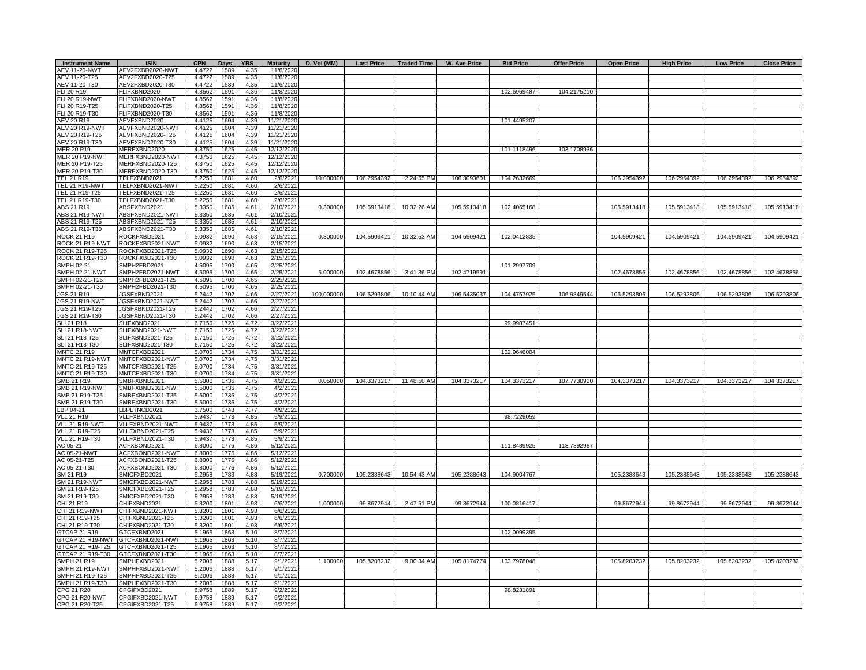| <b>Instrument Name</b>             | <b>ISIN</b>                                | <b>CPN</b>       | <b>Days</b>              | <b>YRS</b>   | <b>Maturity</b>          |            |             |                          | D. Vol (MM) Last Price   Traded Time   W. Ave Price | <b>Bid Price</b> | <b>Offer Price</b> | <b>Open Price</b> | <b>High Price</b> | <b>Low Price</b> | <b>Close Price</b> |
|------------------------------------|--------------------------------------------|------------------|--------------------------|--------------|--------------------------|------------|-------------|--------------------------|-----------------------------------------------------|------------------|--------------------|-------------------|-------------------|------------------|--------------------|
| <b>AEV 11-20-NWT</b>               | AEV2FXBD2020-NWT                           | 4.4722           | 1589                     | 4.35         | 11/6/2020                |            |             |                          |                                                     |                  |                    |                   |                   |                  |                    |
| AEV 11-20-T25<br>AEV 11-20-T30     | AEV2FXBD2020-T25<br>AEV2FXBD2020-T30       | 4.4722<br>4.4722 | 1589<br>1589             | 4.35<br>4.35 | 11/6/2020<br>11/6/2020   |            |             |                          |                                                     |                  |                    |                   |                   |                  |                    |
| FLI 20 R19                         | FLIFXBND2020                               | 4.8562           | 1591                     | 4.36         | 11/8/2020                |            |             |                          |                                                     | 102.6969487      | 104.2175210        |                   |                   |                  |                    |
| FLI 20 R19-NWT                     | FLIFXBND2020-NWT                           | 4.8562           | 1591                     | 4.36         | 11/8/2020                |            |             |                          |                                                     |                  |                    |                   |                   |                  |                    |
| FLI 20 R19-T25                     | FLIFXBND2020-T25                           | 4.8562           | 1591                     | 4.36         | 11/8/2020                |            |             |                          |                                                     |                  |                    |                   |                   |                  |                    |
| <b>LI 20 R19-T30</b>               | FLIFXBND2020-T30                           | 4.8562           | 159'                     | 4.36         | 11/8/2020                |            |             |                          |                                                     |                  |                    |                   |                   |                  |                    |
| AEV 20 R19                         | AEVFXBND2020                               | 4.4125           | 1604                     | 4.39         | 11/21/2020               |            |             |                          |                                                     | 101.4495207      |                    |                   |                   |                  |                    |
| AEV 20 R19-NWT                     | AEVFXBND2020-NWT                           | 4.4125           | 1604                     | 4.39         | 11/21/2020               |            |             |                          |                                                     |                  |                    |                   |                   |                  |                    |
| AEV 20 R19-T25<br>AEV 20 R19-T30   | AEVFXBND2020-T25<br>AEVFXBND2020-T30       | 4.4125<br>4.4125 | 1604<br>1604             | 4.39<br>4.39 | 11/21/2020<br>11/21/2020 |            |             |                          |                                                     |                  |                    |                   |                   |                  |                    |
| MER 20 P19                         | MERFXBND2020                               | 4.3750           | 1625                     | 4.45         | 12/12/2020               |            |             |                          |                                                     | 101.1118496      | 103.1708936        |                   |                   |                  |                    |
| MER 20 P19-NWT                     | MERFXBND2020-NWT                           | 4.3750           | 1625                     | 4.45         | 12/12/2020               |            |             |                          |                                                     |                  |                    |                   |                   |                  |                    |
| MER 20 P19-T25                     | MERFXBND2020-T25                           | 4.3750           | 162                      | 4.45         | 12/12/2020               |            |             |                          |                                                     |                  |                    |                   |                   |                  |                    |
| MER 20 P19-T30                     | MERFXBND2020-T30                           | 4.3750           | 162                      | 4.45         | 12/12/2020               |            |             |                          |                                                     |                  |                    |                   |                   |                  |                    |
| <b>FEL 21 R19</b>                  | TELFXBND2021                               | 5.2250           | 168 <sup>2</sup>         | 4.60         | 2/6/2021                 | 10.000000  | 106.2954392 | 2:24:55 PM               | 106.3093601                                         | 104.2632669      |                    | 106.2954392       | 106.2954392       | 106.2954392      | 106.2954392        |
| TEL 21 R19-NWT<br>TEL 21 R19-T25   | TELFXBND2021-NWT<br>TELFXBND2021-T25       | 5.2250<br>5.2250 | 168 <sup>2</sup><br>168' | 4.60<br>4.60 | 2/6/2021<br>2/6/2021     |            |             |                          |                                                     |                  |                    |                   |                   |                  |                    |
| TEL 21 R19-T30                     | TELFXBND2021-T30                           | 5.2250           | 1681                     | 4.60         | 2/6/2021                 |            |             |                          |                                                     |                  |                    |                   |                   |                  |                    |
| ABS 21 R19                         | ABSFXBND2021                               | 5.3350           | 1685                     | 4.61         | 2/10/2021                | 0.300000   | 105.5913418 | 10:32:26 AM              | 105.5913418                                         | 102.4065168      |                    | 105.5913418       | 105.5913418       | 105.5913418      | 105.5913418        |
| ABS 21 R19-NWT                     | ABSFXBND2021-NWT                           | 5.3350           | 1685                     | 4.61         | 2/10/2021                |            |             |                          |                                                     |                  |                    |                   |                   |                  |                    |
| ABS 21 R19-T25                     | ABSFXBND2021-T25                           | 5.3350           | 1685                     | 4.61         | 2/10/2021                |            |             |                          |                                                     |                  |                    |                   |                   |                  |                    |
| ABS 21 R19-T30                     | ABSFXBND2021-T30                           | 5.3350           | 1685                     | 4.61         | 2/10/2021                |            |             |                          |                                                     |                  |                    |                   |                   |                  |                    |
| ROCK 21 R19                        | ROCKFXBD2021                               | 5.0932           | 1690                     | 4.63         | 2/15/2021                | 0.300000   |             | 104.5909421  10:32:53 AM | 104.5909421                                         | 102.0412835      |                    | 104.5909421       | 104.5909421       | 104.5909421      | 104.5909421        |
| ROCK 21 R19-NWT                    | ROCKFXBD2021-NWT                           | 5.0932           | 1690                     | 4.63         | 2/15/2021                |            |             |                          |                                                     |                  |                    |                   |                   |                  |                    |
| ROCK 21 R19-T25<br>ROCK 21 R19-T30 | ROCKFXBD2021-T25<br>ROCKFXBD2021-T30       | 5.0932<br>5.0932 | 1690<br>1690             | 4.63<br>4.63 | 2/15/2021<br>2/15/2021   |            |             |                          |                                                     |                  |                    |                   |                   |                  |                    |
| SMPH 02-21                         | SMPH2FBD2021                               | 4.5095           | 1700                     | 4.65         | 2/25/2021                |            |             |                          |                                                     | 101.2997709      |                    |                   |                   |                  |                    |
| SMPH 02-21-NWT                     | MPH2FBD2021-NWT                            | 4.5095           | 1700                     | 4.65         | 2/25/2021                | 5.000000   | 102.4678856 | 3:41:36 PM               | 102.4719591                                         |                  |                    | 102.4678856       | 102.4678856       | 102.4678856      | 102.4678856        |
| SMPH 02-21-T25                     | SMPH2FBD2021-T25                           | 4.5095           | 1700                     | 4.65         | 2/25/2021                |            |             |                          |                                                     |                  |                    |                   |                   |                  |                    |
| SMPH 02-21-T30                     | SMPH2FBD2021-T30                           | 4.5095           | 1700                     | 4.65         | 2/25/2021                |            |             |                          |                                                     |                  |                    |                   |                   |                  |                    |
| JGS 21 R19                         | <b>IGSFXBND2021</b>                        | 5.2442           | 1702                     | 4.66         | 2/27/2021                | 100.000000 | 106.5293806 | 10:10:44 AM              | 106.5435037                                         | 104.4757925      | 106.9849544        | 106.5293806       | 106.5293806       | 106.5293806      | 106.5293806        |
| JGS 21 R19-NWT                     | JGSFXBND2021-NWT<br>JGSFXBND2021-T25       | 5.2442<br>5.2442 | 1702<br>1702             | 4.66<br>4.66 | 2/27/2021<br>2/27/2021   |            |             |                          |                                                     |                  |                    |                   |                   |                  |                    |
| JGS 21 R19-T25<br>IGS 21 R19-T30   | JGSFXBND2021-T30                           | 5.2442           | 1702                     | 4.66         | 2/27/2021                |            |             |                          |                                                     |                  |                    |                   |                   |                  |                    |
| SLI 21 R18                         | SLIFXBND2021                               | 6.7150           | 1725                     | 4.72         | 3/22/2021                |            |             |                          |                                                     | 99.9987451       |                    |                   |                   |                  |                    |
| SLI 21 R18-NWT                     | SLIFXBND2021-NWT                           | 6.7150           | 1725                     | 4.72         | 3/22/2021                |            |             |                          |                                                     |                  |                    |                   |                   |                  |                    |
| SLI 21 R18-T25                     | SLIFXBND2021-T25                           | 6.7150           | 1725                     | 4.72         | 3/22/2021                |            |             |                          |                                                     |                  |                    |                   |                   |                  |                    |
| SLI 21 R18-T30                     | SLIFXBND2021-T30                           | 6.7150           | 1725                     | 4.72         | 3/22/2021                |            |             |                          |                                                     |                  |                    |                   |                   |                  |                    |
| MNTC 21 R19<br>MNTC 21 R19-NWT     | MNTCFXBD2021<br>MNTCFXBD2021-NWT           | 5.0700<br>5.0700 | 1734                     | 4.75<br>4.75 | 3/31/2021<br>3/31/2021   |            |             |                          |                                                     | 102.9646004      |                    |                   |                   |                  |                    |
| MNTC 21 R19-T25                    | MNTCFXBD2021-T25                           | 5.0700           | 1734<br>1734             | 4.75         | 3/31/2021                |            |             |                          |                                                     |                  |                    |                   |                   |                  |                    |
| <b>INTC 21 R19-T30</b>             | MNTCFXBD2021-T30                           | 5.0700           | 1734                     | 4.75         | 3/31/2021                |            |             |                          |                                                     |                  |                    |                   |                   |                  |                    |
| SMB 21 R19                         | <b>SMBFXBND2021</b>                        | 5.5000           | 1736                     | 4.75         | 4/2/2021                 | 0.050000   |             | 104.3373217  11:48:50 AM | 104.3373217                                         | 104.3373217      | 107.7730920        | 104.3373217       | 104.3373217       | 104.3373217      | 104.3373217        |
| <b>SMB 21 R19-NWT</b>              | SMBFXBND2021-NWT                           | 5.500            | 1736                     | 4.75         | 4/2/2021                 |            |             |                          |                                                     |                  |                    |                   |                   |                  |                    |
| SMB 21 R19-T25                     | SMBFXBND2021-T25                           | 5.500            | 1736                     | 4.75         | 4/2/2021                 |            |             |                          |                                                     |                  |                    |                   |                   |                  |                    |
| SMB 21 R19-T30                     | SMBFXBND2021-T30                           | 5.5000           | 1736                     | 4.75<br>4.77 | 4/2/2021                 |            |             |                          |                                                     |                  |                    |                   |                   |                  |                    |
| BP 04-21<br>/LL 21 R19             | LBPLTNCD2021<br>VLLFXBND2021               | 3.750<br>5.9437  | 1743<br>1773             | 4.85         | 4/9/2021<br>5/9/2021     |            |             |                          |                                                     | 98.7229059       |                    |                   |                   |                  |                    |
| VLL 21 R19-NWT                     | VLLFXBND2021-NWT                           | 5.9437           | 1773                     | 4.85         | 5/9/2021                 |            |             |                          |                                                     |                  |                    |                   |                   |                  |                    |
| VLL 21 R19-T25                     | VLLFXBND2021-T25                           | 5.9437           | 1773                     | 4.85         | 5/9/2021                 |            |             |                          |                                                     |                  |                    |                   |                   |                  |                    |
| VLL 21 R19-T30                     | VLLFXBND2021-T30                           | 5.9437           | 1773                     | 4.85         | 5/9/2021                 |            |             |                          |                                                     |                  |                    |                   |                   |                  |                    |
| AC 05-21                           | ACFXBOND2021                               | 6.8000           | 1776                     | 4.86         | 5/12/2021                |            |             |                          |                                                     | 111.8489925      | 113.7392987        |                   |                   |                  |                    |
| AC 05-21-NWT                       | ACFXBOND2021-NWT                           | 6.8000           | 1776                     | 4.86         | 5/12/2021                |            |             |                          |                                                     |                  |                    |                   |                   |                  |                    |
| AC 05-21-T25                       | ACFXBOND2021-T25                           | 6.8000           | 1776<br>1776             | 4.86         | 5/12/2021                |            |             |                          |                                                     |                  |                    |                   |                   |                  |                    |
| AC 05-21-T30<br>SM 21 R19          | ACFXBOND2021-T30<br>SMICFXBD2021           | 6.8000<br>5.2958 | 1783                     | 4.86<br>4.88 | 5/12/2021<br>5/19/2021   | 0.700000   | 105.2388643 | 10:54:43 AM              | 105.2388643                                         | 104.9004767      |                    | 105.2388643       | 105.2388643       | 105.2388643      | 105.2388643        |
| SM 21 R19-NWT                      | MICFXBD2021-NWT                            | 5.2958           | 1783                     | 4.88         | 5/19/2021                |            |             |                          |                                                     |                  |                    |                   |                   |                  |                    |
| SM 21 R19-T25                      | MICFXBD2021-T25                            | 5.2958           | 1783                     | 4.88         | 5/19/2021                |            |             |                          |                                                     |                  |                    |                   |                   |                  |                    |
| SM 21 R19-T30                      | SMICFXBD2021-T30                           | 5.2958           | 1783                     | 4.88         | 5/19/2021                |            |             |                          |                                                     |                  |                    |                   |                   |                  |                    |
| CHI 21 R19                         | CHIFXBND2021                               | 5.3200           | 1801                     | 4.93         | 6/6/2021                 | 1.000000   | 99.8672944  | 2:47:51 PM               | 99.8672944                                          | 100.0816417      |                    | 99.8672944        | 99.8672944        | 99.8672944       | 99.8672944         |
| CHI 21 R19-NWT                     | CHIFXBND2021-NWT                           | 5.3200           | 1801                     | 4.93         | 6/6/2021                 |            |             |                          |                                                     |                  |                    |                   |                   |                  |                    |
| CHI 21 R19-T25<br>CHI 21 R19-T30   | <b>CHIFXBND2021-T25</b><br>HIFXBND2021-T30 | 5.3200<br>5.3200 | 1801<br>1801             | 4.93<br>4.93 | 6/6/2021<br>6/6/2021     |            |             |                          |                                                     |                  |                    |                   |                   |                  |                    |
| 3TCAP 21 R19                       | TCFXBND2021                                | 5.1965           | 1863                     | 5.10         | 8/7/2021                 |            |             |                          |                                                     | 102.0099395      |                    |                   |                   |                  |                    |
| STCAP 21 R19-NWT                   | GTCFXBND2021-NWT                           | 5.1965           | 1863                     | 5.10         | 8/7/2021                 |            |             |                          |                                                     |                  |                    |                   |                   |                  |                    |
| TCAP 21 R19-T25                    | GTCFXBND2021-T25                           | 5.1965           | 1863                     | 5.10         | 8/7/2021                 |            |             |                          |                                                     |                  |                    |                   |                   |                  |                    |
| GTCAP 21 R19-T30                   | GTCFXBND2021-T30                           | 5.1965           | 1863                     | 5.10         | 8/7/2021                 |            |             |                          |                                                     |                  |                    |                   |                   |                  |                    |
| SMPH 21 R19                        | SMPHFXBD2021                               | 5.2006           | 1888                     | 5.17         | 9/1/2021                 | 1.100000   | 105.8203232 | 9:00:34 AM               | 105.8174774                                         | 103.7978048      |                    | 105.8203232       | 105.8203232       | 105.8203232      | 105.8203232        |
| SMPH 21 R19-NWT                    | SMPHFXBD2021-NWT                           | 5.2006           | 1888                     | 5.17         | 9/1/2021                 |            |             |                          |                                                     |                  |                    |                   |                   |                  |                    |
| SMPH 21 R19-T25<br>SMPH 21 R19-T30 | SMPHFXBD2021-T25<br>SMPHFXBD2021-T30       | 5.2006<br>5.2006 | 1888<br>1888             | 5.17<br>5.17 | 9/1/2021<br>9/1/2021     |            |             |                          |                                                     |                  |                    |                   |                   |                  |                    |
| CPG 21 R20                         | CPGIFXBD2021                               | 6.9758           | 1889                     | 5.17         | 9/2/2021                 |            |             |                          |                                                     | 98.8231891       |                    |                   |                   |                  |                    |
| CPG 21 R20-NWT                     | CPGIFXBD2021-NWT                           | 6.9758           | 1889                     | 5.17         | 9/2/2021                 |            |             |                          |                                                     |                  |                    |                   |                   |                  |                    |
| CPG 21 R20-T25                     | CPGIFXBD2021-T25                           | 6.9758           | 1889                     | 5.17         | 9/2/2021                 |            |             |                          |                                                     |                  |                    |                   |                   |                  |                    |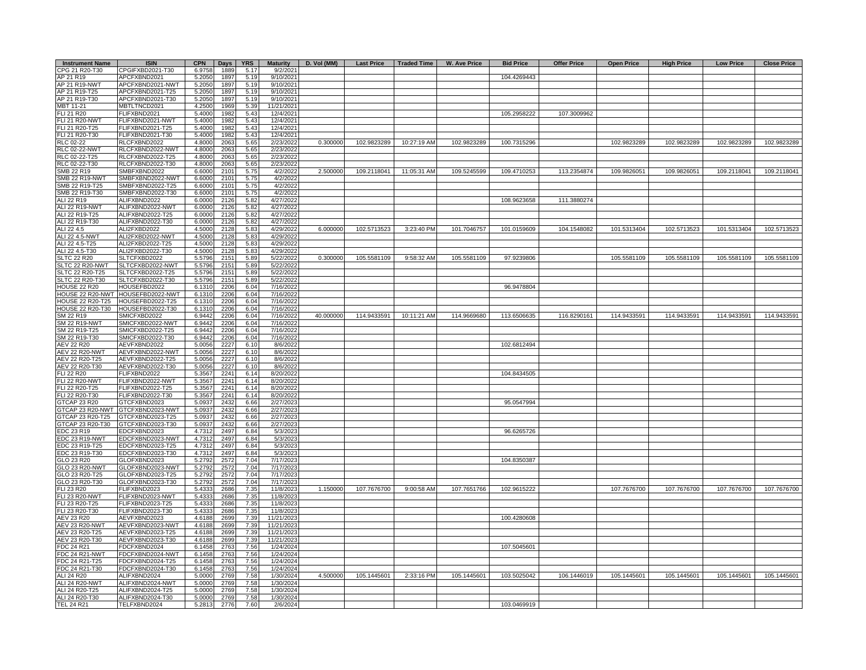| <b>Instrument Name</b>                | <b>ISIN</b>                          | <b>CPN</b>       | <b>Days</b>  | <b>YRS</b>   | <b>Maturity</b>         | D. Vol (MM) |             |             | Last Price   Traded Time   W. Ave Price | <b>Bid Price</b> | <b>Offer Price</b> | <b>Open Price</b> | <b>High Price</b> | <b>Low Price</b> | <b>Close Price</b> |
|---------------------------------------|--------------------------------------|------------------|--------------|--------------|-------------------------|-------------|-------------|-------------|-----------------------------------------|------------------|--------------------|-------------------|-------------------|------------------|--------------------|
| CPG 21 R20-T30                        | CPGIFXBD2021-T30                     | 6.9758           | 1889         | 5.17         | 9/2/2021                |             |             |             |                                         |                  |                    |                   |                   |                  |                    |
| AP 21 R19<br>AP 21 R19-NWT            | APCFXBND2021<br>APCFXBND2021-NWT     | 5.2050<br>5.2050 | 1897<br>1897 | 5.19<br>5.19 | 9/10/2021<br>9/10/2021  |             |             |             |                                         | 104.4269443      |                    |                   |                   |                  |                    |
| AP 21 R19-T25                         | APCFXBND2021-T25                     | 5.2050           | 1897         | 5.19         | 9/10/2021               |             |             |             |                                         |                  |                    |                   |                   |                  |                    |
| AP 21 R19-T30                         | APCFXBND2021-T30                     | 5.2050           | 1897         | 5.19         | 9/10/2021               |             |             |             |                                         |                  |                    |                   |                   |                  |                    |
| MBT 11-21                             | MBTLTNCD2021                         | 4.2500           | 1969         | 5.39         | 11/21/2021              |             |             |             |                                         |                  |                    |                   |                   |                  |                    |
| FLI 21 R20                            | FLIFXBND2021                         | 5.4000           | 198          | 5.43         | 12/4/2021               |             |             |             |                                         | 105.2958222      | 107.3009962        |                   |                   |                  |                    |
| <b>FLI 21 R20-NWT</b>                 | FLIFXBND2021-NWT                     | 5.4000           | 198          | 5.43         | 12/4/2021               |             |             |             |                                         |                  |                    |                   |                   |                  |                    |
| FLI 21 R20-T25                        | FLIFXBND2021-T25                     | 5.4000           | 1982         | 5.43         | 12/4/2021               |             |             |             |                                         |                  |                    |                   |                   |                  |                    |
| FLI 21 R20-T30<br>RLC 02-22           | FLIFXBND2021-T30<br>RLCFXBND2022     | 5.4000<br>4.8000 | 1982<br>206  | 5.43<br>5.65 | 12/4/2021<br>2/23/2022  | 0.300000    | 102.9823289 | 10:27:19 AM | 102.9823289                             | 100.7315296      |                    | 102.9823289       | 102.9823289       | 102.9823289      | 102.9823289        |
| <b>RLC 02-22-NWT</b>                  | RLCFXBND2022-NWT                     | 4.8000           | 206          | 5.65         | 2/23/2022               |             |             |             |                                         |                  |                    |                   |                   |                  |                    |
| RLC 02-22-T25                         | RLCFXBND2022-T25                     | 4.8000           | 2063         | 5.65         | 2/23/2022               |             |             |             |                                         |                  |                    |                   |                   |                  |                    |
| RLC 02-22-T30                         | RLCFXBND2022-T30                     | 4.8000           | 2063         | 5.65         | 2/23/2022               |             |             |             |                                         |                  |                    |                   |                   |                  |                    |
| SMB 22 R19                            | SMBFXBND2022                         | 6.6000           | 2101         | 5.75         | 4/2/2022                | 2.500000    | 109.2118041 | 11:05:31 AM | 109.5245599                             | 109.4710253      | 113.2354874        | 109.9826051       | 109.9826051       | 109.2118041      | 109.2118041        |
| <b>SMB 22 R19-NWT</b>                 | SMBFXBND2022-NWT                     | 6.6000           | 2101         | 5.75         | 4/2/2022                |             |             |             |                                         |                  |                    |                   |                   |                  |                    |
| SMB 22 R19-T25                        | SMBFXBND2022-T25                     | 6.600C           | 210          | 5.75         | 4/2/2022                |             |             |             |                                         |                  |                    |                   |                   |                  |                    |
| SMB 22 R19-T30<br>ALI 22 R19          | SMBFXBND2022-T30<br>ALIFXBND2022     | 6.6000<br>6.0000 | 2101<br>2126 | 5.75<br>5.82 | 4/2/2022<br>4/27/2022   |             |             |             |                                         | 108.9623658      | 111.3880274        |                   |                   |                  |                    |
| ALI 22 R19-NWT                        | ALIFXBND2022-NWT                     | 6.0000           | 2126         | 5.82         | 4/27/2022               |             |             |             |                                         |                  |                    |                   |                   |                  |                    |
| ALI 22 R19-T25                        | ALIFXBND2022-T25                     | 6.0000           | 2126         | 5.82         | 4/27/2022               |             |             |             |                                         |                  |                    |                   |                   |                  |                    |
| ALI 22 R19-T30                        | ALIFXBND2022-T30                     | 6.0000           | 2126         | 5.82         | 4/27/2022               |             |             |             |                                         |                  |                    |                   |                   |                  |                    |
| ALI 22 4.5                            | ALI2FXBD2022                         | 4.5000           | 2128         | 5.83         | 4/29/2022               | 6.000000    | 102.5713523 | 3:23:40 PM  | 101.7046757                             | 101.0159609      | 104.1548082        | 101.5313404       | 102.5713523       | 101.5313404      | 102.5713523        |
| ALI 22 4.5-NWT                        | ALI2FXBD2022-NWT                     | 4.5000           | 2128         | 5.83         | 4/29/2022               |             |             |             |                                         |                  |                    |                   |                   |                  |                    |
| ALI 22 4.5-T25                        | ALI2FXBD2022-T25                     | 4.5000           | 2128         | 5.83         | 4/29/2022               |             |             |             |                                         |                  |                    |                   |                   |                  |                    |
| ALI 22 4.5-T30                        | ALI2FXBD2022-T30                     | 4.5000           | 2128         | 5.83<br>5.89 | 4/29/2022               | 0.300000    | 105.5581109 | 9:58:32 AM  | 105.5581109                             | 97.9239806       |                    | 105.5581109       | 105.5581109       | 105.5581109      | 105.5581109        |
| <b>SLTC 22 R20</b><br>SLTC 22 R20-NWT | SLTCFXBD2022<br>SLTCFXBD2022-NWT     | 5.5796<br>5.5796 | 2151<br>2151 | 5.89         | 5/22/2022<br>5/22/2022  |             |             |             |                                         |                  |                    |                   |                   |                  |                    |
| SLTC 22 R20-T25                       | SLTCFXBD2022-T25                     | 5.5796           | 2151         | 5.89         | 5/22/2022               |             |             |             |                                         |                  |                    |                   |                   |                  |                    |
| SLTC 22 R20-T30                       | SLTCFXBD2022-T30                     | 5.5796           | 2151         | 5.89         | 5/22/2022               |             |             |             |                                         |                  |                    |                   |                   |                  |                    |
| <b>HOUSE 22 R20</b>                   | HOUSEFBD2022                         | 6.1310           | 2206         | 6.04         | 7/16/2022               |             |             |             |                                         | 96.9478804       |                    |                   |                   |                  |                    |
| HOUSE 22 R20-NWT                      | HOUSEFBD2022-NWT                     | 6.1310           | 2206         | 6.04         | 7/16/2022               |             |             |             |                                         |                  |                    |                   |                   |                  |                    |
| <b>HOUSE 22 R20-T25</b>               | HOUSEFBD2022-T25                     | 6.1310           | 2206         | 6.04         | 7/16/2022               |             |             |             |                                         |                  |                    |                   |                   |                  |                    |
| HOUSE 22 R20-T30<br>SM 22 R19         | HOUSEFBD2022-T30<br>SMICFXBD2022     | 6.1310<br>6.9442 | 2206<br>2206 | 6.04<br>6.04 | 7/16/2022<br>7/16/2022  | 40.000000   | 114.9433591 | 10:11:21 AM | 114.9669680                             | 113.6506635      | 116.8290161        | 114.9433591       | 114.9433591       | 114.9433591      | 114.9433591        |
| <b>SM 22 R19-NWT</b>                  | SMICFXBD2022-NWT                     | 6.9442           | 2206         | 6.04         | 7/16/2022               |             |             |             |                                         |                  |                    |                   |                   |                  |                    |
| SM 22 R19-T25                         | SMICFXBD2022-T25                     | 6.9442           | 2206         | 6.04         | 7/16/2022               |             |             |             |                                         |                  |                    |                   |                   |                  |                    |
| SM 22 R19-T30                         | SMICFXBD2022-T30                     | 6.9442           | 2206         | 6.04         | 7/16/2022               |             |             |             |                                         |                  |                    |                   |                   |                  |                    |
| AEV 22 R20                            | AEVFXBND2022                         | 5.0056           | 222          | 6.10         | 8/6/2022                |             |             |             |                                         | 102.6812494      |                    |                   |                   |                  |                    |
| <b>AEV 22 R20-NWT</b>                 | AEVFXBND2022-NWT                     | 5.0056           | 2227         | 6.10         | 8/6/2022                |             |             |             |                                         |                  |                    |                   |                   |                  |                    |
| AEV 22 R20-T25<br>AEV 22 R20-T30      | AEVFXBND2022-T25                     | 5.0056           | 2227         | 6.10         | 8/6/2022                |             |             |             |                                         |                  |                    |                   |                   |                  |                    |
| <b>FLI 22 R20</b>                     | AEVFXBND2022-T30<br>FLIFXBND2022     | 5.0056<br>5.3567 | 2227<br>2241 | 6.10<br>6.14 | 8/6/2022<br>8/20/2022   |             |             |             |                                         | 104.8434505      |                    |                   |                   |                  |                    |
| FLI 22 R20-NWT                        | FLIFXBND2022-NWT                     | 5.3567           | 2241         | 6.14         | 8/20/2022               |             |             |             |                                         |                  |                    |                   |                   |                  |                    |
| FLI 22 R20-T25                        | FLIFXBND2022-T25                     | 5.3567           | 2241         | 6.14         | 8/20/2022               |             |             |             |                                         |                  |                    |                   |                   |                  |                    |
| FLI 22 R20-T30                        | FLIFXBND2022-T30                     | 5.3567           | 2241         | 6.14         | 8/20/2022               |             |             |             |                                         |                  |                    |                   |                   |                  |                    |
| <b>GTCAP 23 R20</b>                   | GTCFXBND2023                         | 5.0937           | 2432         | 6.66         | 2/27/2023               |             |             |             |                                         | 95.0547994       |                    |                   |                   |                  |                    |
| GTCAP 23 R20-NWT                      | GTCFXBND2023-NWT                     | 5.0937           | 2432         | 6.66         | 2/27/2023               |             |             |             |                                         |                  |                    |                   |                   |                  |                    |
| GTCAP 23 R20-T25                      | GTCFXBND2023-T25                     | 5.0937           | 243          | 6.66         | 2/27/2023               |             |             |             |                                         |                  |                    |                   |                   |                  |                    |
| GTCAP 23 R20-T30<br>EDC 23 R19        | GTCFXBND2023-T30<br>EDCFXBND2023     | 5.0937<br>4.7312 | 2432<br>2497 | 6.66<br>6.84 | 2/27/2023<br>5/3/2023   |             |             |             |                                         | 96.6265726       |                    |                   |                   |                  |                    |
| EDC 23 R19-NWT                        | EDCFXBND2023-NWT                     | 4.7312           | 2497         | 6.84         | 5/3/2023                |             |             |             |                                         |                  |                    |                   |                   |                  |                    |
| EDC 23 R19-T25                        | EDCFXBND2023-T25                     | 4.7312           | 2497         | 6.84         | 5/3/2023                |             |             |             |                                         |                  |                    |                   |                   |                  |                    |
| EDC 23 R19-T30                        | EDCFXBND2023-T30                     | 4.7312           | 2497         | 6.84         | 5/3/2023                |             |             |             |                                         |                  |                    |                   |                   |                  |                    |
| GLO 23 R20                            | GLOFXBND2023                         | 5.2792           | 2572         | 7.04         | 7/17/2023               |             |             |             |                                         | 104.8350387      |                    |                   |                   |                  |                    |
| GLO 23 R20-NWT                        | GLOFXBND2023-NWT                     | 5.2792           | 2572         | 7.04         | 7/17/2023               |             |             |             |                                         |                  |                    |                   |                   |                  |                    |
| GLO 23 R20-T25<br>GLO 23 R20-T30      | GLOFXBND2023-T25                     | 5.2792           | 2572         | 7.04<br>7.04 | 7/17/2023<br>7/17/2023  |             |             |             |                                         |                  |                    |                   |                   |                  |                    |
| FLI 23 R20                            | GLOFXBND2023-T30<br>FLIFXBND2023     | 5.2792<br>5.4333 | 2572<br>2686 | 7.35         | 11/8/2023               | 1.150000    | 107.7676700 | 9:00:58 AM  | 107.7651766                             | 102.9615222      |                    | 107.7676700       | 107.7676700       | 107.7676700      | 107.7676700        |
| <b>FLI 23 R20-NWT</b>                 | FLIFXBND2023-NWT                     | 5.4333           | 2686         | 7.35         | 11/8/2023               |             |             |             |                                         |                  |                    |                   |                   |                  |                    |
| FLI 23 R20-T25                        | FLIFXBND2023-T25                     | 5.4333           | 2686         | 7.35         | 11/8/2023               |             |             |             |                                         |                  |                    |                   |                   |                  |                    |
| FLI 23 R20-T30                        | FLIFXBND2023-T30                     | 5.4333           | 2686         | 7.35         | 11/8/2023               |             |             |             |                                         |                  |                    |                   |                   |                  |                    |
| AEV 23 R20                            | AEVFXBND2023                         | 4.6188           | 2699         | 7.39         | 11/21/2023              |             |             |             |                                         | 100.4280608      |                    |                   |                   |                  |                    |
| <b>AEV 23 R20-NWT</b>                 | AEVFXBND2023-NWT                     | 4.6188           | 2699         | 7.39         | 11/21/2023              |             |             |             |                                         |                  |                    |                   |                   |                  |                    |
| AEV 23 R20-T25                        | AEVFXBND2023-T25                     | 4.618            | 269          | 7.39         | 11/21/2023              |             |             |             |                                         |                  |                    |                   |                   |                  |                    |
| AEV 23 R20-T30<br>FDC 24 R21          | AEVFXBND2023-T30<br>FDCFXBND2024     | 4.6188<br>6.1458 | 2699<br>2763 | 7.39<br>7.56 | 11/21/2023<br>1/24/2024 |             |             |             |                                         | 107.5045601      |                    |                   |                   |                  |                    |
| FDC 24 R21-NWT                        | FDCFXBND2024-NWT                     | 6.1458           | 2763         | 7.56         | 1/24/2024               |             |             |             |                                         |                  |                    |                   |                   |                  |                    |
| FDC 24 R21-T25                        | FDCFXBND2024-T25                     | 6.1458           | 2763         | 7.56         | 1/24/2024               |             |             |             |                                         |                  |                    |                   |                   |                  |                    |
| FDC 24 R21-T30                        | FDCFXBND2024-T30                     | 6.1458           | 2763         | 7.56         | 1/24/2024               |             |             |             |                                         |                  |                    |                   |                   |                  |                    |
| ALI 24 R20                            | ALIFXBND2024                         | 5.0000           | 2769         | 7.58         | 1/30/2024               | 4.500000    | 105.1445601 | 2:33:16 PM  | 105.1445601                             | 103.5025042      | 106.1446019        | 105.1445601       | 105.1445601       | 105.1445601      | 105.1445601        |
| ALI 24 R20-NWT                        | ALIFXBND2024-NWT                     | 5.0000           | 2769         | 7.58         | 1/30/2024               |             |             |             |                                         |                  |                    |                   |                   |                  |                    |
| ALI 24 R20-T25<br>ALI 24 R20-T30      | ALIFXBND2024-T25<br>ALIFXBND2024-T30 | 5.0000<br>5.0000 | 2769<br>2769 | 7.58<br>7.58 | 1/30/2024<br>1/30/2024  |             |             |             |                                         |                  |                    |                   |                   |                  |                    |
| <b>TEL 24 R21</b>                     | TELFXBND2024                         | 5.2813           | 2776         | 7.60         | 2/6/2024                |             |             |             |                                         | 103.0469919      |                    |                   |                   |                  |                    |
|                                       |                                      |                  |              |              |                         |             |             |             |                                         |                  |                    |                   |                   |                  |                    |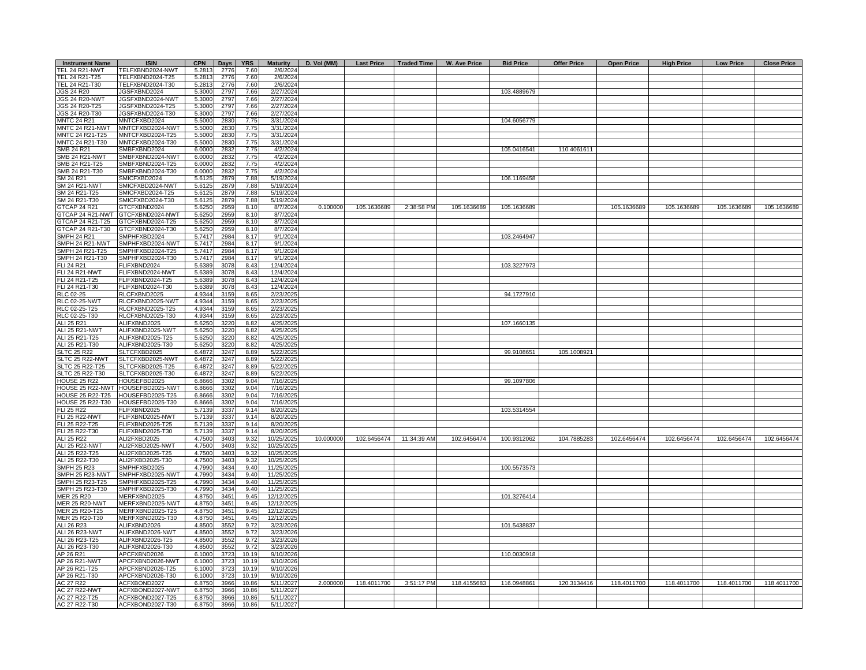| <b>Instrument Name</b>             | <b>ISIN</b>                          | <b>CPN</b>       | Days         | <b>YRS</b>    | <b>Maturity</b>        | D. Vol (MM) |             |             | Last Price   Traded Time   W. Ave Price | <b>Bid Price</b> | <b>Offer Price</b> | <b>Open Price</b> | <b>High Price</b> | <b>Low Price</b> | <b>Close Price</b> |
|------------------------------------|--------------------------------------|------------------|--------------|---------------|------------------------|-------------|-------------|-------------|-----------------------------------------|------------------|--------------------|-------------------|-------------------|------------------|--------------------|
| <b>TEL 24 R21-NWT</b>              | TELFXBND2024-NWT                     | 5.2813           | 2776         | 7.60          | 2/6/2024               |             |             |             |                                         |                  |                    |                   |                   |                  |                    |
| TEL 24 R21-T25                     | TELFXBND2024-T25                     | 5.2813           | 2776         | 7.60          | 2/6/2024               |             |             |             |                                         |                  |                    |                   |                   |                  |                    |
| TEL 24 R21-T30                     | TELFXBND2024-T30                     | 5.2813           | 2776         | 7.60          | 2/6/2024               |             |             |             |                                         |                  |                    |                   |                   |                  |                    |
| <b>JGS 24 R20</b>                  | JGSFXBND2024                         | 5.3000           | 2797         | 7.66          | 2/27/2024              |             |             |             |                                         | 103.4889679      |                    |                   |                   |                  |                    |
| <b>JGS 24 R20-NWT</b>              | JGSFXBND2024-NWT                     | 5.3000           | 2797         | 7.66          | 2/27/2024              |             |             |             |                                         |                  |                    |                   |                   |                  |                    |
| <b>JGS 24 R20-T25</b>              | JGSFXBND2024-T25                     | 5.3000           | 2797         | 7.66          | 2/27/2024              |             |             |             |                                         |                  |                    |                   |                   |                  |                    |
| JGS 24 R20-T30                     | JGSFXBND2024-T30                     | 5.3000           | 2797         | 7.66          | 2/27/2024              |             |             |             |                                         |                  |                    |                   |                   |                  |                    |
| <b>MNTC 24 R21</b>                 | MNTCFXBD2024                         | 5.5000           | 2830         | 7.75          | 3/31/2024              |             |             |             |                                         | 104.6056779      |                    |                   |                   |                  |                    |
| MNTC 24 R21-NWT                    | MNTCFXBD2024-NWT                     | 5.5000           | 2830         | 7.75          | 3/31/2024              |             |             |             |                                         |                  |                    |                   |                   |                  |                    |
| MNTC 24 R21-T25                    | MNTCFXBD2024-T25                     | 5.5000           | 2830         | 7.75          | 3/31/2024              |             |             |             |                                         |                  |                    |                   |                   |                  |                    |
| MNTC 24 R21-T30                    | MNTCFXBD2024-T30                     | 5.5000           | 2830         | 7.75          | 3/31/2024              |             |             |             |                                         |                  |                    |                   |                   |                  |                    |
| SMB 24 R21                         | SMBFXBND2024                         | 6.0000           | 2832         | 7.75          | 4/2/2024               |             |             |             |                                         | 105.0416541      | 110.4061611        |                   |                   |                  |                    |
| <b>SMB 24 R21-NWT</b>              | SMBFXBND2024-NWT                     | 6.0000           | 2832         | 7.75          | 4/2/2024               |             |             |             |                                         |                  |                    |                   |                   |                  |                    |
| SMB 24 R21-T25                     | SMBFXBND2024-T25                     | 6.0000           | 2832         | 7.75          | 4/2/2024               |             |             |             |                                         |                  |                    |                   |                   |                  |                    |
| SMB 24 R21-T30                     | SMBFXBND2024-T30                     | 6.0000           | 2832         | 7.75          | 4/2/2024               |             |             |             |                                         |                  |                    |                   |                   |                  |                    |
| SM 24 R21                          | SMICFXBD2024                         | 5.6125           | 2879         | 7.88          | 5/19/2024              |             |             |             |                                         | 106.1169458      |                    |                   |                   |                  |                    |
| SM 24 R21-NWT                      | SMICFXBD2024-NWT                     | 5.6125           | 2879         | 7.88          | 5/19/2024              |             |             |             |                                         |                  |                    |                   |                   |                  |                    |
| SM 24 R21-T25<br>SM 24 R21-T30     | SMICFXBD2024-T25                     | 5.6125           | 2879         | 7.88          | 5/19/2024<br>5/19/2024 |             |             |             |                                         |                  |                    |                   |                   |                  |                    |
|                                    | SMICFXBD2024-T30                     | 5.6125           | 2879         | 7.88          |                        |             |             |             |                                         |                  |                    |                   |                   |                  |                    |
| GTCAP 24 R21                       | GTCFXBND2024                         | 5.6250           | 2959         | 8.10          | 8/7/2024               | 0.100000    | 105.1636689 | 2:38:58 PM  | 105.1636689                             | 105.1636689      |                    | 105.1636689       | 105.1636689       | 105.1636689      | 105.1636689        |
| <b>GTCAP 24 R21-NWT</b>            | GTCFXBND2024-NWT                     | 5.6250           | 2959         | 8.10          | 8/7/2024               |             |             |             |                                         |                  |                    |                   |                   |                  |                    |
| GTCAP 24 R21-T25                   | GTCFXBND2024-T25                     | 5.6250           | 2959         | 8.10          | 8/7/2024               |             |             |             |                                         |                  |                    |                   |                   |                  |                    |
| <b>GTCAP 24 R21-T30</b>            | GTCFXBND2024-T30                     | 5.6250           | 2959         | 8.10<br>8.17  | 8/7/2024               |             |             |             |                                         |                  |                    |                   |                   |                  |                    |
| <b>SMPH 24 R21</b>                 | SMPHFXBD2024                         | 5.7417           | 2984         | 8.17          | 9/1/2024               |             |             |             |                                         | 103.2464947      |                    |                   |                   |                  |                    |
| SMPH 24 R21-NWT                    | SMPHFXBD2024-NWT                     | 5.7417           | 2984         | 8.17          | 9/1/2024               |             |             |             |                                         |                  |                    |                   |                   |                  |                    |
| SMPH 24 R21-T25<br>SMPH 24 R21-T30 | SMPHFXBD2024-T25<br>SMPHFXBD2024-T30 | 5.7417<br>5.7417 | 2984<br>2984 | 8.17          | 9/1/2024<br>9/1/2024   |             |             |             |                                         |                  |                    |                   |                   |                  |                    |
| FLI 24 R21                         | FLIFXBND2024                         | 5.6389           | 3078         | 8.43          | 12/4/2024              |             |             |             |                                         | 103.3227973      |                    |                   |                   |                  |                    |
| <b>FLI 24 R21-NWT</b>              | FLIFXBND2024-NWT                     | 5.6389           | 3078         | 8.43          | 12/4/2024              |             |             |             |                                         |                  |                    |                   |                   |                  |                    |
| FLI 24 R21-T25                     | FLIFXBND2024-T25                     | 5.6389           | 3078         | 8.43          | 12/4/2024              |             |             |             |                                         |                  |                    |                   |                   |                  |                    |
| FLI 24 R21-T30                     | FLIFXBND2024-T30                     | 5.6389           | 3078         | 8.43          | 12/4/2024              |             |             |             |                                         |                  |                    |                   |                   |                  |                    |
| <b>RLC 02-25</b>                   | RLCFXBND2025                         | 4.9344           | 3159         | 8.65          | 2/23/2025              |             |             |             |                                         | 94.1727910       |                    |                   |                   |                  |                    |
| <b>RLC 02-25-NWT</b>               | RLCFXBND2025-NWT                     | 4.9344           | 3159         | 8.65          | 2/23/2025              |             |             |             |                                         |                  |                    |                   |                   |                  |                    |
| RLC 02-25-T25                      | RLCFXBND2025-T25                     | 4.9344           | 3159         | 8.65          | 2/23/2025              |             |             |             |                                         |                  |                    |                   |                   |                  |                    |
| RLC 02-25-T30                      | RLCFXBND2025-T30                     | 4.9344           | 3159         | 8.65          | 2/23/2025              |             |             |             |                                         |                  |                    |                   |                   |                  |                    |
| ALI 25 R21                         | ALIFXBND2025                         | 5.6250           | 3220         | 8.82          | 4/25/2025              |             |             |             |                                         | 107.1660135      |                    |                   |                   |                  |                    |
| ALI 25 R21-NWT                     | ALIFXBND2025-NWT                     | 5.6250           | 3220         | 8.82          | 4/25/2025              |             |             |             |                                         |                  |                    |                   |                   |                  |                    |
| ALI 25 R21-T25                     | ALIFXBND2025-T25                     | 5.6250           | 3220         | 8.82          | 4/25/2025              |             |             |             |                                         |                  |                    |                   |                   |                  |                    |
| ALI 25 R21-T30                     | ALIFXBND2025-T30                     | 5.6250           | 3220         | 8.82          | 4/25/2025              |             |             |             |                                         |                  |                    |                   |                   |                  |                    |
| <b>SLTC 25 R22</b>                 | SLTCFXBD2025                         | 6.4872           | 3247         | 8.89          | 5/22/2025              |             |             |             |                                         | 99.9108651       | 105.1008921        |                   |                   |                  |                    |
| SLTC 25 R22-NWT                    | SLTCFXBD2025-NWT                     | 6.4872           | 3247         | 8.89          | 5/22/2025              |             |             |             |                                         |                  |                    |                   |                   |                  |                    |
| SLTC 25 R22-T25                    | SLTCFXBD2025-T25                     | 6.4872           | 3247         | 8.89          | 5/22/2025              |             |             |             |                                         |                  |                    |                   |                   |                  |                    |
| SLTC 25 R22-T30                    | SLTCFXBD2025-T30                     | 6.4872           | 3247         | 8.89          | 5/22/2025              |             |             |             |                                         |                  |                    |                   |                   |                  |                    |
| <b>HOUSE 25 R22</b>                | HOUSEFBD2025                         | 6.8666           | 3302         | 9.04          | 7/16/2025              |             |             |             |                                         | 99.1097806       |                    |                   |                   |                  |                    |
| <b>HOUSE 25 R22-NWT</b>            | HOUSEFBD2025-NWT                     | 6.8666           | 3302         | 9.04          | 7/16/2025              |             |             |             |                                         |                  |                    |                   |                   |                  |                    |
| <b>OUSE 25 R22-T25</b>             | HOUSEFBD2025-T25                     | 6.8666           | 3302         | 9.04          | 7/16/2025              |             |             |             |                                         |                  |                    |                   |                   |                  |                    |
| <b>OUSE 25 R22-T30</b>             | HOUSEFBD2025-T30                     | 6.8666           | 3302         | 9.04          | 7/16/2025              |             |             |             |                                         |                  |                    |                   |                   |                  |                    |
| LI 25 R22                          | FLIFXBND2025                         | 5.7139           | 3337         | 9.14          | 8/20/2025              |             |             |             |                                         | 103.5314554      |                    |                   |                   |                  |                    |
| LI 25 R22-NWT                      | FLIFXBND2025-NWT                     | 5.7139           | 3337         | 9.14          | 8/20/2025              |             |             |             |                                         |                  |                    |                   |                   |                  |                    |
| <b>LI 25 R22-T25</b>               | FLIFXBND2025-T25                     | 5.7139           | 3337         | 9.14          | 8/20/2025              |             |             |             |                                         |                  |                    |                   |                   |                  |                    |
| FLI 25 R22-T30                     | FLIFXBND2025-T30                     | 5.7139           | 3337         | 9.14          | 8/20/2025              |             |             |             |                                         |                  |                    |                   |                   |                  |                    |
| ALI 25 R22                         | ALI2FXBD2025                         | 4.750            | 3403         | 9.32          | 10/25/2025             | 10.000000   | 102.6456474 | 11:34:39 AM | 102.6456474                             | 100.9312062      | 104.7885283        | 102.6456474       | 102.6456474       | 102.6456474      | 102.6456474        |
| ALI 25 R22-NWT                     | ALI2FXBD2025-NWT                     | 4.7500           | 3403         | 9.32          | 10/25/2025             |             |             |             |                                         |                  |                    |                   |                   |                  |                    |
| ALI 25 R22-T25                     | ALI2FXBD2025-T25                     | 4.7500           | 3403         | 9.32          | 10/25/2025             |             |             |             |                                         |                  |                    |                   |                   |                  |                    |
| ALI 25 R22-T30                     | ALI2FXBD2025-T30                     | 4.7500           | 3403         | 9.32          | 10/25/2025             |             |             |             |                                         |                  |                    |                   |                   |                  |                    |
| <b>SMPH 25 R23</b>                 | SMPHFXBD2025                         | 4.7990           | 3434         | 9.40          | 11/25/2025             |             |             |             |                                         | 100.5573573      |                    |                   |                   |                  |                    |
| SMPH 25 R23-NWT                    | SMPHFXBD2025-NWT                     | 4.7990           | 3434         | 9.40          | 11/25/2025             |             |             |             |                                         |                  |                    |                   |                   |                  |                    |
| SMPH 25 R23-T25                    | SMPHFXBD2025-T25                     | 4.7990           | 3434         | 9.40          | 11/25/2025             |             |             |             |                                         |                  |                    |                   |                   |                  |                    |
| SMPH 25 R23-T30                    | SMPHFXBD2025-T30                     | 4.7990           | 3434         | 9.40          | 11/25/2025             |             |             |             |                                         |                  |                    |                   |                   |                  |                    |
| MER 25 R20                         | MERFXBND2025                         | 4.8750           | 3451         | 9.45          | 12/12/2025             |             |             |             |                                         | 101.3276414      |                    |                   |                   |                  |                    |
| MER 25 R20-NWT                     | MERFXBND2025-NWT                     | 4.8750           | 3451         | 9.45          | 12/12/2025             |             |             |             |                                         |                  |                    |                   |                   |                  |                    |
| MER 25 R20-T25                     | MERFXBND2025-T25                     | 4.8750           | 3451         | 9.45          | 12/12/2025             |             |             |             |                                         |                  |                    |                   |                   |                  |                    |
| MER 25 R20-T30                     | MERFXBND2025-T30                     | 4.8750           | 3451         | 9.45          | 12/12/2025             |             |             |             |                                         |                  |                    |                   |                   |                  |                    |
| ALI 26 R23                         | ALIFXBND2026<br>ALIFXBND2026-NWT     | 4.8500<br>4.8500 | 3552         | 9.72          | 3/23/2026              |             |             |             |                                         | 101.5438837      |                    |                   |                   |                  |                    |
| ALI 26 R23-NWT                     | ALIFXBND2026-T25                     | 4.8500           | 3552         | 9.72          | 3/23/2026              |             |             |             |                                         |                  |                    |                   |                   |                  |                    |
| ALI 26 R23-T25<br>ALI 26 R23-T30   | ALIFXBND2026-T30                     | 4.8500           | 3552<br>3552 | 9.72          | 3/23/2026              |             |             |             |                                         |                  |                    |                   |                   |                  |                    |
| AP 26 R21                          | APCFXBND2026                         | 6.1000           | 3723         | 9.72<br>10.19 | 3/23/2026<br>9/10/2026 |             |             |             |                                         | 110.0030918      |                    |                   |                   |                  |                    |
| AP 26 R21-NWT                      | APCFXBND2026-NWT                     | 6.1000           | 3723         | 10.19         | 9/10/2026              |             |             |             |                                         |                  |                    |                   |                   |                  |                    |
| AP 26 R21-T25                      | APCFXBND2026-T25                     | 6.1000           | 3723         | 10.19         | 9/10/2026              |             |             |             |                                         |                  |                    |                   |                   |                  |                    |
| AP 26 R21-T30                      | APCFXBND2026-T30                     | 6.1000           | 3723         | 10.19         | 9/10/2026              |             |             |             |                                         |                  |                    |                   |                   |                  |                    |
| AC 27 R22                          | ACFXBOND2027                         | 6.8750           | 3966         | 10.86         | 5/11/2027              | 2.000000    | 118.4011700 | 3:51:17 PM  | 118.4155683                             | 116.0948861      | 120.3134416        | 118.4011700       | 118.4011700       | 118.4011700      | 118.4011700        |
| AC 27 R22-NWT                      | ACFXBOND2027-NWT                     | 6.8750           | 3966         | 10.86         | 5/11/2027              |             |             |             |                                         |                  |                    |                   |                   |                  |                    |
| AC 27 R22-T25                      | ACFXBOND2027-T25                     | 6.8750           | 3966         | 10.86         | 5/11/2027              |             |             |             |                                         |                  |                    |                   |                   |                  |                    |
| AC 27 R22-T30                      | ACFXBOND2027-T30                     | 6.8750           | 3966         | 10.86         | 5/11/2027              |             |             |             |                                         |                  |                    |                   |                   |                  |                    |
|                                    |                                      |                  |              |               |                        |             |             |             |                                         |                  |                    |                   |                   |                  |                    |